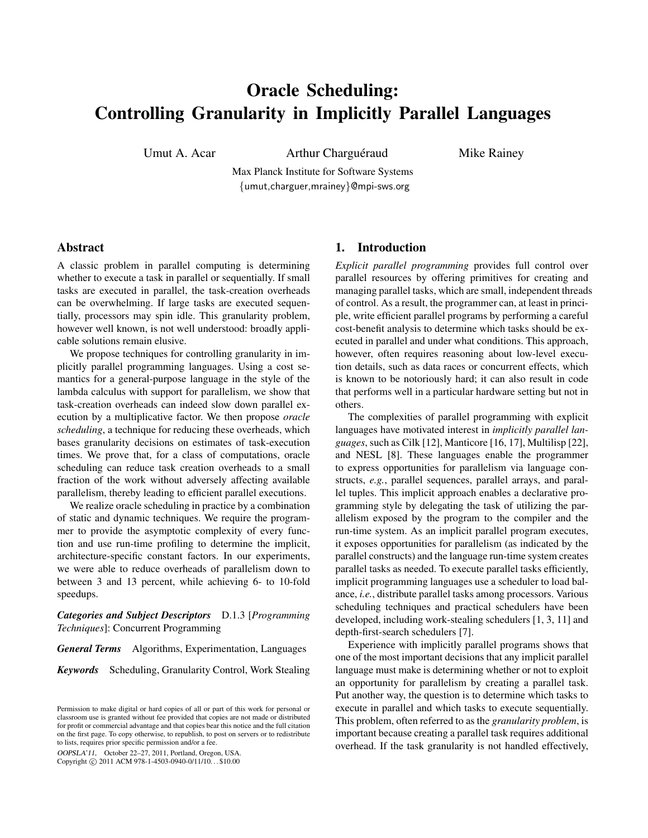# Oracle Scheduling: Controlling Granularity in Implicitly Parallel Languages

Umut A. Acar **Arthur Charguéraud** Mike Rainey

Max Planck Institute for Software Systems {umut,charguer,mrainey}@mpi-sws.org

## Abstract

A classic problem in parallel computing is determining whether to execute a task in parallel or sequentially. If small tasks are executed in parallel, the task-creation overheads can be overwhelming. If large tasks are executed sequentially, processors may spin idle. This granularity problem, however well known, is not well understood: broadly applicable solutions remain elusive.

We propose techniques for controlling granularity in implicitly parallel programming languages. Using a cost semantics for a general-purpose language in the style of the lambda calculus with support for parallelism, we show that task-creation overheads can indeed slow down parallel execution by a multiplicative factor. We then propose *oracle scheduling*, a technique for reducing these overheads, which bases granularity decisions on estimates of task-execution times. We prove that, for a class of computations, oracle scheduling can reduce task creation overheads to a small fraction of the work without adversely affecting available parallelism, thereby leading to efficient parallel executions.

We realize oracle scheduling in practice by a combination of static and dynamic techniques. We require the programmer to provide the asymptotic complexity of every function and use run-time profiling to determine the implicit, architecture-specific constant factors. In our experiments, we were able to reduce overheads of parallelism down to between 3 and 13 percent, while achieving 6- to 10-fold speedups.

*Categories and Subject Descriptors* D.1.3 [*Programming Techniques*]: Concurrent Programming

*General Terms* Algorithms, Experimentation, Languages

*Keywords* Scheduling, Granularity Control, Work Stealing

OOPSLA'11, October 22–27, 2011, Portland, Oregon, USA. Copyright © 2011 ACM 978-1-4503-0940-0/11/10... \$10.00

## 1. Introduction

*Explicit parallel programming* provides full control over parallel resources by offering primitives for creating and managing parallel tasks, which are small, independent threads of control. As a result, the programmer can, at least in principle, write efficient parallel programs by performing a careful cost-benefit analysis to determine which tasks should be executed in parallel and under what conditions. This approach, however, often requires reasoning about low-level execution details, such as data races or concurrent effects, which is known to be notoriously hard; it can also result in code that performs well in a particular hardware setting but not in others.

The complexities of parallel programming with explicit languages have motivated interest in *implicitly parallel languages*, such as Cilk [12], Manticore [16, 17], Multilisp [22], and NESL [8]. These languages enable the programmer to express opportunities for parallelism via language constructs, *e.g.*, parallel sequences, parallel arrays, and parallel tuples. This implicit approach enables a declarative programming style by delegating the task of utilizing the parallelism exposed by the program to the compiler and the run-time system. As an implicit parallel program executes, it exposes opportunities for parallelism (as indicated by the parallel constructs) and the language run-time system creates parallel tasks as needed. To execute parallel tasks efficiently, implicit programming languages use a scheduler to load balance, *i.e.*, distribute parallel tasks among processors. Various scheduling techniques and practical schedulers have been developed, including work-stealing schedulers [1, 3, 11] and depth-first-search schedulers [7].

Experience with implicitly parallel programs shows that one of the most important decisions that any implicit parallel language must make is determining whether or not to exploit an opportunity for parallelism by creating a parallel task. Put another way, the question is to determine which tasks to execute in parallel and which tasks to execute sequentially. This problem, often referred to as the *granularity problem*, is important because creating a parallel task requires additional overhead. If the task granularity is not handled effectively,

Permission to make digital or hard copies of all or part of this work for personal or classroom use is granted without fee provided that copies are not made or distributed for profit or commercial advantage and that copies bear this notice and the full citation on the first page. To copy otherwise, to republish, to post on servers or to redistribute to lists, requires prior specific permission and/or a fee.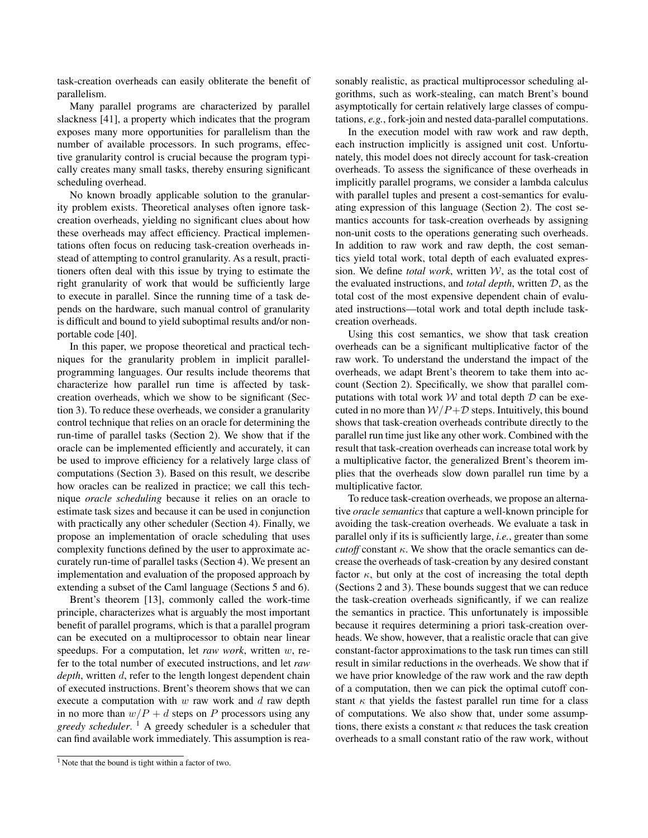task-creation overheads can easily obliterate the benefit of parallelism.

Many parallel programs are characterized by parallel slackness [41], a property which indicates that the program exposes many more opportunities for parallelism than the number of available processors. In such programs, effective granularity control is crucial because the program typically creates many small tasks, thereby ensuring significant scheduling overhead.

No known broadly applicable solution to the granularity problem exists. Theoretical analyses often ignore taskcreation overheads, yielding no significant clues about how these overheads may affect efficiency. Practical implementations often focus on reducing task-creation overheads instead of attempting to control granularity. As a result, practitioners often deal with this issue by trying to estimate the right granularity of work that would be sufficiently large to execute in parallel. Since the running time of a task depends on the hardware, such manual control of granularity is difficult and bound to yield suboptimal results and/or nonportable code [40].

In this paper, we propose theoretical and practical techniques for the granularity problem in implicit parallelprogramming languages. Our results include theorems that characterize how parallel run time is affected by taskcreation overheads, which we show to be significant (Section 3). To reduce these overheads, we consider a granularity control technique that relies on an oracle for determining the run-time of parallel tasks (Section 2). We show that if the oracle can be implemented efficiently and accurately, it can be used to improve efficiency for a relatively large class of computations (Section 3). Based on this result, we describe how oracles can be realized in practice; we call this technique *oracle scheduling* because it relies on an oracle to estimate task sizes and because it can be used in conjunction with practically any other scheduler (Section 4). Finally, we propose an implementation of oracle scheduling that uses complexity functions defined by the user to approximate accurately run-time of parallel tasks (Section 4). We present an implementation and evaluation of the proposed approach by extending a subset of the Caml language (Sections 5 and 6).

Brent's theorem [13], commonly called the work-time principle, characterizes what is arguably the most important benefit of parallel programs, which is that a parallel program can be executed on a multiprocessor to obtain near linear speedups. For a computation, let *raw work*, written w, refer to the total number of executed instructions, and let *raw depth*, written d, refer to the length longest dependent chain of executed instructions. Brent's theorem shows that we can execute a computation with  $w$  raw work and  $d$  raw depth in no more than  $w/P + d$  steps on P processors using any *greedy scheduler*. <sup>1</sup> A greedy scheduler is a scheduler that can find available work immediately. This assumption is reasonably realistic, as practical multiprocessor scheduling algorithms, such as work-stealing, can match Brent's bound asymptotically for certain relatively large classes of computations, *e.g.*, fork-join and nested data-parallel computations.

In the execution model with raw work and raw depth, each instruction implicitly is assigned unit cost. Unfortunately, this model does not direcly account for task-creation overheads. To assess the significance of these overheads in implicitly parallel programs, we consider a lambda calculus with parallel tuples and present a cost-semantics for evaluating expression of this language (Section 2). The cost semantics accounts for task-creation overheads by assigning non-unit costs to the operations generating such overheads. In addition to raw work and raw depth, the cost semantics yield total work, total depth of each evaluated expression. We define *total work*, written W, as the total cost of the evaluated instructions, and *total depth*, written D, as the total cost of the most expensive dependent chain of evaluated instructions—total work and total depth include taskcreation overheads.

Using this cost semantics, we show that task creation overheads can be a significant multiplicative factor of the raw work. To understand the understand the impact of the overheads, we adapt Brent's theorem to take them into account (Section 2). Specifically, we show that parallel computations with total work  $W$  and total depth  $D$  can be executed in no more than  $W/P+\mathcal{D}$  steps. Intuitively, this bound shows that task-creation overheads contribute directly to the parallel run time just like any other work. Combined with the result that task-creation overheads can increase total work by a multiplicative factor, the generalized Brent's theorem implies that the overheads slow down parallel run time by a multiplicative factor.

To reduce task-creation overheads, we propose an alternative *oracle semantics* that capture a well-known principle for avoiding the task-creation overheads. We evaluate a task in parallel only if its is sufficiently large, *i.e.*, greater than some *cutoff* constant  $\kappa$ . We show that the oracle semantics can decrease the overheads of task-creation by any desired constant factor  $\kappa$ , but only at the cost of increasing the total depth (Sections 2 and 3). These bounds suggest that we can reduce the task-creation overheads significantly, if we can realize the semantics in practice. This unfortunately is impossible because it requires determining a priori task-creation overheads. We show, however, that a realistic oracle that can give constant-factor approximations to the task run times can still result in similar reductions in the overheads. We show that if we have prior knowledge of the raw work and the raw depth of a computation, then we can pick the optimal cutoff constant  $\kappa$  that yields the fastest parallel run time for a class of computations. We also show that, under some assumptions, there exists a constant  $\kappa$  that reduces the task creation overheads to a small constant ratio of the raw work, without

 $1$  Note that the bound is tight within a factor of two.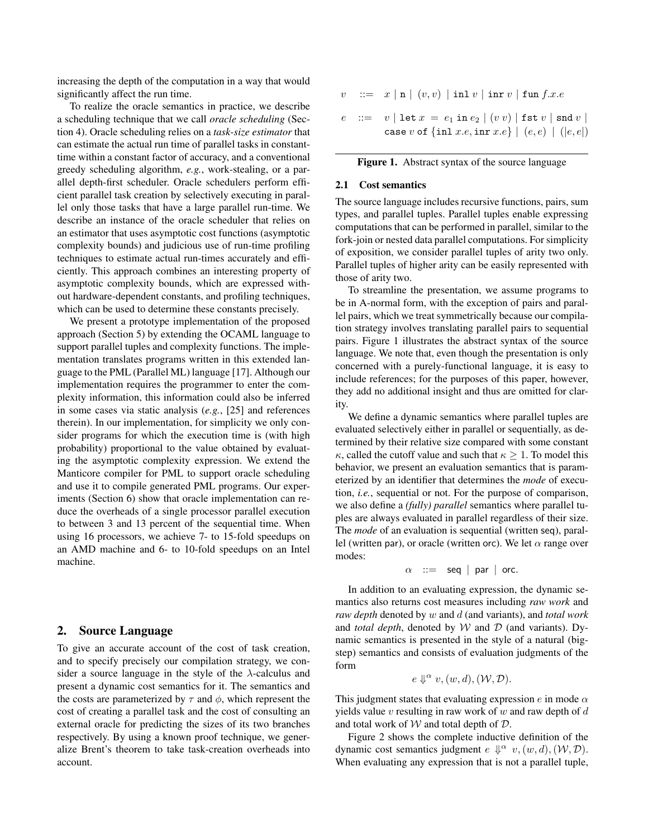increasing the depth of the computation in a way that would significantly affect the run time.

To realize the oracle semantics in practice, we describe a scheduling technique that we call *oracle scheduling* (Section 4). Oracle scheduling relies on a *task-size estimator* that can estimate the actual run time of parallel tasks in constanttime within a constant factor of accuracy, and a conventional greedy scheduling algorithm, *e.g.*, work-stealing, or a parallel depth-first scheduler. Oracle schedulers perform efficient parallel task creation by selectively executing in parallel only those tasks that have a large parallel run-time. We describe an instance of the oracle scheduler that relies on an estimator that uses asymptotic cost functions (asymptotic complexity bounds) and judicious use of run-time profiling techniques to estimate actual run-times accurately and efficiently. This approach combines an interesting property of asymptotic complexity bounds, which are expressed without hardware-dependent constants, and profiling techniques, which can be used to determine these constants precisely.

We present a prototype implementation of the proposed approach (Section 5) by extending the OCAML language to support parallel tuples and complexity functions. The implementation translates programs written in this extended language to the PML (Parallel ML) language [17]. Although our implementation requires the programmer to enter the complexity information, this information could also be inferred in some cases via static analysis (*e.g.*, [25] and references therein). In our implementation, for simplicity we only consider programs for which the execution time is (with high probability) proportional to the value obtained by evaluating the asymptotic complexity expression. We extend the Manticore compiler for PML to support oracle scheduling and use it to compile generated PML programs. Our experiments (Section 6) show that oracle implementation can reduce the overheads of a single processor parallel execution to between 3 and 13 percent of the sequential time. When using 16 processors, we achieve 7- to 15-fold speedups on an AMD machine and 6- to 10-fold speedups on an Intel machine.

## 2. Source Language

To give an accurate account of the cost of task creation, and to specify precisely our compilation strategy, we consider a source language in the style of the  $\lambda$ -calculus and present a dynamic cost semantics for it. The semantics and the costs are parameterized by  $\tau$  and  $\phi$ , which represent the cost of creating a parallel task and the cost of consulting an external oracle for predicting the sizes of its two branches respectively. By using a known proof technique, we generalize Brent's theorem to take task-creation overheads into account.

$$
v \quad ::= \quad x \mid \mathtt{n} \mid (v,v) \mid \mathtt{inl}\ v \mid \mathtt{inr}\ v \mid \mathtt{fun}\ f.x.e
$$

$$
e ::= v | \text{let } x = e_1 \text{ in } e_2 | (v v) | \text{fst } v | \text{snd } v |
$$
  
case v of {inl x.e, inr x.e} | (e, e) | (|e, e|)

#### Figure 1. Abstract syntax of the source language

## 2.1 Cost semantics

The source language includes recursive functions, pairs, sum types, and parallel tuples. Parallel tuples enable expressing computations that can be performed in parallel, similar to the fork-join or nested data parallel computations. For simplicity of exposition, we consider parallel tuples of arity two only. Parallel tuples of higher arity can be easily represented with those of arity two.

To streamline the presentation, we assume programs to be in A-normal form, with the exception of pairs and parallel pairs, which we treat symmetrically because our compilation strategy involves translating parallel pairs to sequential pairs. Figure 1 illustrates the abstract syntax of the source language. We note that, even though the presentation is only concerned with a purely-functional language, it is easy to include references; for the purposes of this paper, however, they add no additional insight and thus are omitted for clarity.

We define a dynamic semantics where parallel tuples are evaluated selectively either in parallel or sequentially, as determined by their relative size compared with some constant  $\kappa$ , called the cutoff value and such that  $\kappa \geq 1$ . To model this behavior, we present an evaluation semantics that is parameterized by an identifier that determines the *mode* of execution, *i.e.*, sequential or not. For the purpose of comparison, we also define a *(fully) parallel* semantics where parallel tuples are always evaluated in parallel regardless of their size. The *mode* of an evaluation is sequential (written seq), parallel (written par), or oracle (written orc). We let  $\alpha$  range over modes:

$$
\alpha \ ::= \ \mathsf{seq} \ | \ \mathsf{par} \ | \ \mathsf{orc}.
$$

In addition to an evaluating expression, the dynamic semantics also returns cost measures including *raw work* and *raw depth* denoted by w and d (and variants), and *total work* and *total depth*, denoted by  $W$  and  $D$  (and variants). Dynamic semantics is presented in the style of a natural (bigstep) semantics and consists of evaluation judgments of the form

$$
e \Downarrow^{\alpha} v, (w, d), (\mathcal{W}, \mathcal{D}).
$$

This judgment states that evaluating expression  $e$  in mode  $\alpha$ yields value v resulting in raw work of w and raw depth of  $d$ and total work of  $W$  and total depth of  $D$ .

Figure 2 shows the complete inductive definition of the dynamic cost semantics judgment  $e \Downarrow^{\alpha} v, (w, d), (W, \mathcal{D})$ . When evaluating any expression that is not a parallel tuple,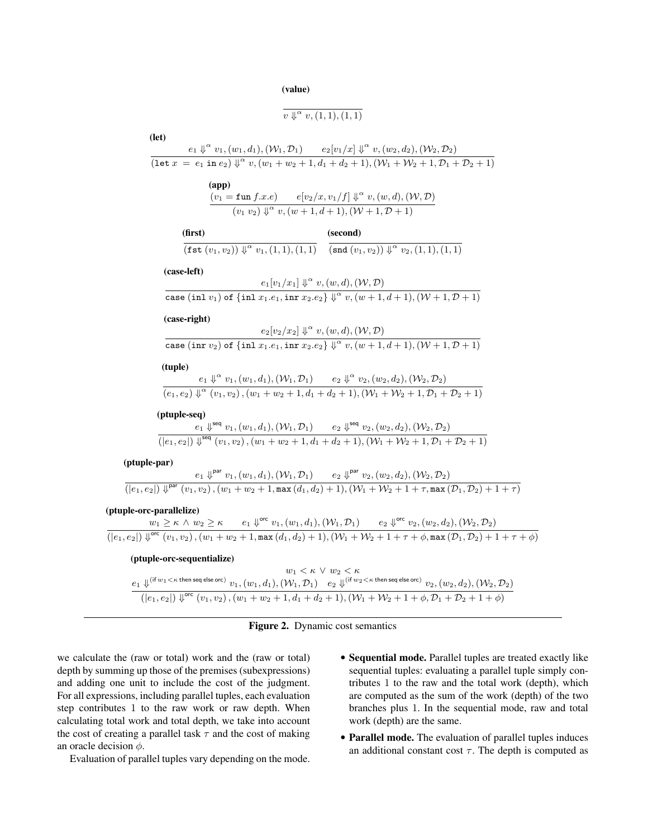## (value)

$$
\overline{v\Downarrow^{\alpha} v,(1,1),(1,1)}
$$

| (let)                      | $e_1 \Downarrow^{\alpha} v_1, (w_1, d_1), (\mathcal{W}_1, \mathcal{D}_1) \qquad e_2[v_1/x] \Downarrow^{\alpha} v, (w_2, d_2), (\mathcal{W}_2, \mathcal{D}_2)$                                                                                                      |
|----------------------------|--------------------------------------------------------------------------------------------------------------------------------------------------------------------------------------------------------------------------------------------------------------------|
|                            | (let $x = e_1$ in $e_2$ ) $\sqrt[n]{a}$ v, $(w_1 + w_2 + 1, d_1 + d_2 + 1)$ , $(\mathcal{W}_1 + \mathcal{W}_2 + 1, \mathcal{D}_1 + \mathcal{D}_2 + 1)$                                                                                                             |
| (ap <sub>p</sub> )         |                                                                                                                                                                                                                                                                    |
|                            | $\frac{(v_1 = \texttt{fun } f.x.e)}{(v_1 \ v_2) \Downarrow^{\alpha} v.(w + 1, d + 1). (W + 1, D + 1)}$                                                                                                                                                             |
|                            |                                                                                                                                                                                                                                                                    |
| (first)                    | (second)                                                                                                                                                                                                                                                           |
|                            | $\frac{1}{\left(\text{fst}\left(v_1, v_2\right)\right) \Downarrow^{\alpha} v_1, (1, 1), (1, 1)}$ $\frac{1}{\left(\text{snd}\left(v_1, v_2\right)\right) \Downarrow^{\alpha} v_2, (1, 1), (1, 1)}$                                                                  |
| (case-left)                |                                                                                                                                                                                                                                                                    |
|                            | $e_1[v_1/x_1] \Downarrow^{\alpha} v, (w, d), (\mathcal{W}, \mathcal{D})$                                                                                                                                                                                           |
|                            | $\texttt{case (inl } v_1) \ \overline{\texttt{of} \ \{ \texttt{inl } x_1.e_1, \texttt{inr } x_2.e_2 \} \ \Downarrow^{\alpha} v, (w+1,d+1), (\mathcal{W}+1, \mathcal{D}+1)}$                                                                                        |
| (case-right)               |                                                                                                                                                                                                                                                                    |
|                            | $\frac{e_2[v_2/x_2]\Downarrow^\alpha v, (w,d), (\mathcal{W}, \mathcal{D})}{\text{case (inr } v_2) \text{ of } \{\text{inl }x_1.e_1, \text{inr }x_2.e_2\}\Downarrow^\alpha v, (w+1,d+1), (\mathcal{W}+1, \mathcal{D}+1)}$                                           |
|                            |                                                                                                                                                                                                                                                                    |
| (tuple)                    |                                                                                                                                                                                                                                                                    |
|                            |                                                                                                                                                                                                                                                                    |
|                            | $\frac{e_1 \Downarrow^{\alpha} v_1, (w_1, d_1), (\mathcal{W}_1, \mathcal{D}_1)}{(e_1, e_2) \Downarrow^{\alpha} (v_1, v_2), (w_1 + w_2 + 1, d_1 + d_2 + 1), (\mathcal{W}_1 + \mathcal{W}_2 + 1, \mathcal{D}_1 + \mathcal{D}_2 + 1)}$                                |
| (ptuple-seq)               |                                                                                                                                                                                                                                                                    |
|                            | $\frac{e_1 \downarrow^{\text{seq}} v_1, (w_1, d_1), (\mathcal{W}_1, \mathcal{D}_1)}{( e_1, e_2 ) \downarrow^{\text{seq}} (v_1, v_2), (w_1 + w_2 + 1, d_1 + d_2 + 1), (\mathcal{W}_1 + \mathcal{W}_2 + 1, \mathcal{D}_1 + \mathcal{D}_2 + 1)}$                      |
|                            |                                                                                                                                                                                                                                                                    |
| (ptuple-par)               |                                                                                                                                                                                                                                                                    |
|                            |                                                                                                                                                                                                                                                                    |
|                            | $\frac{e_1\,\,\psi^{\rm par}\,\,v_1,(w_1,d_1),(\mathcal W_1,\mathcal D_1)}{( e_1,e_2 )\,\,\psi^{\rm par}\,\,(v_1,v_2)\,,(w_1+w_2+1,\max{(d_1,d_2)}+1),(\mathcal W_1+\mathcal W_2+1+\tau,\max{(\mathcal D_1,\mathcal D_2)}+1+\tau)}$                                |
| (ptuple-orc-parallelize)   |                                                                                                                                                                                                                                                                    |
|                            | $w_1 \geq \kappa \ \wedge \ w_2 \geq \kappa \qquad e_1 \Downarrow^{\text{orc}} v_1, (w_1, d_1), (\mathcal{W}_1, \mathcal{D}_1) \qquad e_2 \Downarrow^{\text{orc}} v_2, (w_2, d_2), (\mathcal{W}_2, \mathcal{D}_2)$                                                 |
|                            | $\overline{( e_1,e_2 ) \Downarrow^{\text{occ}} (v_1,v_2), (w_1+w_2+1,\max{(d_1,d_2)}+1), ( \mathcal{W}_1+\mathcal{W}_2+1+\tau+\phi, \max{(\mathcal{D}_1,\mathcal{D}_2)}+1+\tau+\phi)}$                                                                             |
| (ptuple-orc-sequentialize) |                                                                                                                                                                                                                                                                    |
|                            | $w_1 < \kappa \vee w_2 < \kappa$                                                                                                                                                                                                                                   |
|                            | $\frac{e_1\Downarrow^{(\text{if }w_1< \kappa \text{ then seq else orc})}v_1,(w_1,d_1),(\mathcal{W}_1,\mathcal{D}_1)}{( e_1,e_2 )\Downarrow^{\text{orc}}(v_1,v_2), (w_1+w_2+1,d_1+d_2+1), (\mathcal{W}_1+\mathcal{W}_2+1+\phi,\mathcal{D}_1+\mathcal{D}_2+1+\phi)}$ |
|                            |                                                                                                                                                                                                                                                                    |



we calculate the (raw or total) work and the (raw or total) depth by summing up those of the premises (subexpressions) and adding one unit to include the cost of the judgment. For all expressions, including parallel tuples, each evaluation step contributes 1 to the raw work or raw depth. When calculating total work and total depth, we take into account the cost of creating a parallel task  $\tau$  and the cost of making an oracle decision  $\phi$ .

Evaluation of parallel tuples vary depending on the mode.

- Sequential mode. Parallel tuples are treated exactly like sequential tuples: evaluating a parallel tuple simply contributes 1 to the raw and the total work (depth), which are computed as the sum of the work (depth) of the two branches plus 1. In the sequential mode, raw and total work (depth) are the same.
- Parallel mode. The evaluation of parallel tuples induces an additional constant cost  $\tau$ . The depth is computed as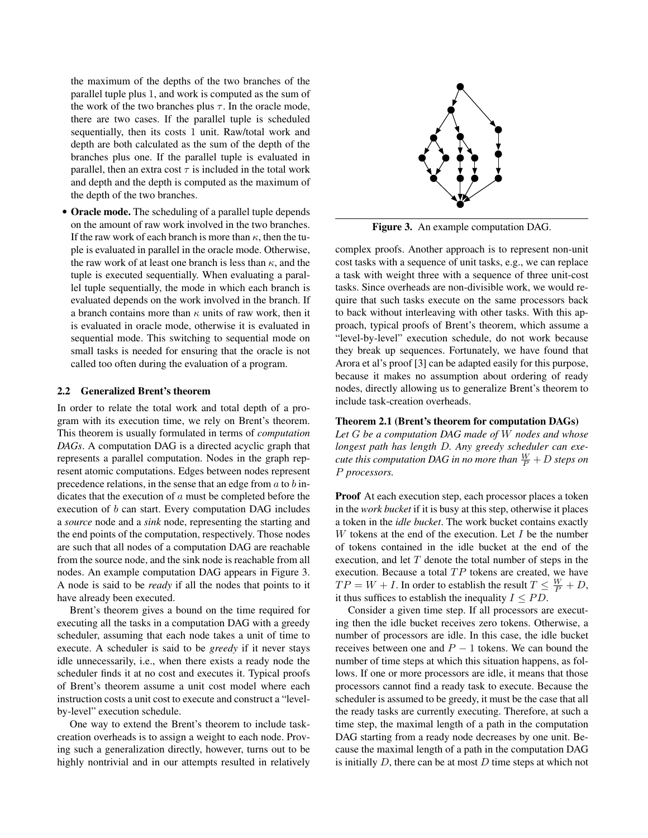the maximum of the depths of the two branches of the parallel tuple plus 1, and work is computed as the sum of the work of the two branches plus  $\tau$ . In the oracle mode, there are two cases. If the parallel tuple is scheduled sequentially, then its costs 1 unit. Raw/total work and depth are both calculated as the sum of the depth of the branches plus one. If the parallel tuple is evaluated in parallel, then an extra cost  $\tau$  is included in the total work and depth and the depth is computed as the maximum of the depth of the two branches.

• Oracle mode. The scheduling of a parallel tuple depends on the amount of raw work involved in the two branches. If the raw work of each branch is more than  $\kappa$ , then the tuple is evaluated in parallel in the oracle mode. Otherwise, the raw work of at least one branch is less than  $\kappa$ , and the tuple is executed sequentially. When evaluating a parallel tuple sequentially, the mode in which each branch is evaluated depends on the work involved in the branch. If a branch contains more than  $\kappa$  units of raw work, then it is evaluated in oracle mode, otherwise it is evaluated in sequential mode. This switching to sequential mode on small tasks is needed for ensuring that the oracle is not called too often during the evaluation of a program.

#### 2.2 Generalized Brent's theorem

In order to relate the total work and total depth of a program with its execution time, we rely on Brent's theorem. This theorem is usually formulated in terms of *computation DAGs*. A computation DAG is a directed acyclic graph that represents a parallel computation. Nodes in the graph represent atomic computations. Edges between nodes represent precedence relations, in the sense that an edge from  $a$  to  $b$  indicates that the execution of a must be completed before the execution of b can start. Every computation DAG includes a *source* node and a *sink* node, representing the starting and the end points of the computation, respectively. Those nodes are such that all nodes of a computation DAG are reachable from the source node, and the sink node is reachable from all nodes. An example computation DAG appears in Figure 3. A node is said to be *ready* if all the nodes that points to it have already been executed.

Brent's theorem gives a bound on the time required for executing all the tasks in a computation DAG with a greedy scheduler, assuming that each node takes a unit of time to execute. A scheduler is said to be *greedy* if it never stays idle unnecessarily, i.e., when there exists a ready node the scheduler finds it at no cost and executes it. Typical proofs of Brent's theorem assume a unit cost model where each instruction costs a unit cost to execute and construct a "levelby-level" execution schedule.

One way to extend the Brent's theorem to include taskcreation overheads is to assign a weight to each node. Proving such a generalization directly, however, turns out to be highly nontrivial and in our attempts resulted in relatively



Figure 3. An example computation DAG.

complex proofs. Another approach is to represent non-unit cost tasks with a sequence of unit tasks, e.g., we can replace a task with weight three with a sequence of three unit-cost tasks. Since overheads are non-divisible work, we would require that such tasks execute on the same processors back to back without interleaving with other tasks. With this approach, typical proofs of Brent's theorem, which assume a "level-by-level" execution schedule, do not work because they break up sequences. Fortunately, we have found that Arora et al's proof [3] can be adapted easily for this purpose, because it makes no assumption about ordering of ready nodes, directly allowing us to generalize Brent's theorem to include task-creation overheads.

#### Theorem 2.1 (Brent's theorem for computation DAGs)

*Let* G *be a computation DAG made of* W *nodes and whose longest path has length* D*. Any greedy scheduler can exe*cute this computation DAG in no more than  $\frac{W}{P}$  +  $D$  steps on P *processors.*

Proof At each execution step, each processor places a token in the *work bucket* if it is busy at this step, otherwise it places a token in the *idle bucket*. The work bucket contains exactly W tokens at the end of the execution. Let  $I$  be the number of tokens contained in the idle bucket at the end of the execution, and let  $T$  denote the total number of steps in the execution. Because a total  $TP$  tokens are created, we have  $TP = W + I$ . In order to establish the result  $T \leq \frac{W}{P} + D$ , it thus suffices to establish the inequality  $I \leq PD$ .

Consider a given time step. If all processors are executing then the idle bucket receives zero tokens. Otherwise, a number of processors are idle. In this case, the idle bucket receives between one and  $P - 1$  tokens. We can bound the number of time steps at which this situation happens, as follows. If one or more processors are idle, it means that those processors cannot find a ready task to execute. Because the scheduler is assumed to be greedy, it must be the case that all the ready tasks are currently executing. Therefore, at such a time step, the maximal length of a path in the computation DAG starting from a ready node decreases by one unit. Because the maximal length of a path in the computation DAG is initially  $D$ , there can be at most  $D$  time steps at which not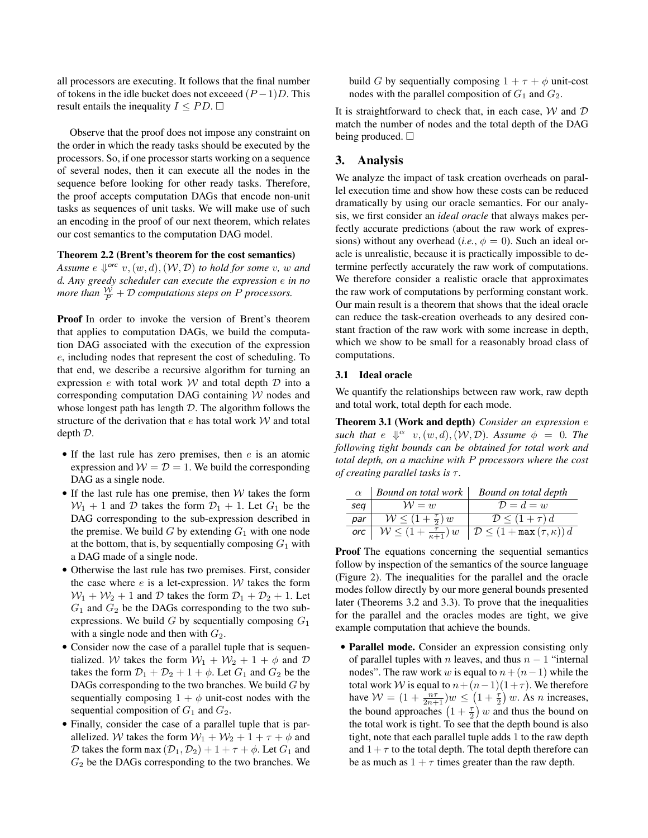all processors are executing. It follows that the final number of tokens in the idle bucket does not exceed  $(P-1)D$ . This result entails the inequality  $I \leq PD$ .  $\Box$ 

Observe that the proof does not impose any constraint on the order in which the ready tasks should be executed by the processors. So, if one processor starts working on a sequence of several nodes, then it can execute all the nodes in the sequence before looking for other ready tasks. Therefore, the proof accepts computation DAGs that encode non-unit tasks as sequences of unit tasks. We will make use of such an encoding in the proof of our next theorem, which relates our cost semantics to the computation DAG model.

# Theorem 2.2 (Brent's theorem for the cost semantics)

Assume  $e \Downarrow^{$ d*. Any greedy scheduler can execute the expression* e *in no more than*  $\frac{W}{P} + D$  *computations steps on P processors.* 

Proof In order to invoke the version of Brent's theorem that applies to computation DAGs, we build the computation DAG associated with the execution of the expression e, including nodes that represent the cost of scheduling. To that end, we describe a recursive algorithm for turning an expression  $e$  with total work  $W$  and total depth  $D$  into a corresponding computation DAG containing  $W$  nodes and whose longest path has length  $D$ . The algorithm follows the structure of the derivation that  $e$  has total work  $W$  and total depth D.

- If the last rule has zero premises, then  $e$  is an atomic expression and  $W = D = 1$ . We build the corresponding DAG as a single node.
- If the last rule has one premise, then  $W$  takes the form  $W_1 + 1$  and D takes the form  $\mathcal{D}_1 + 1$ . Let  $G_1$  be the DAG corresponding to the sub-expression described in the premise. We build  $G$  by extending  $G_1$  with one node at the bottom, that is, by sequentially composing  $G_1$  with a DAG made of a single node.
- Otherwise the last rule has two premises. First, consider the case where  $e$  is a let-expression. W takes the form  $W_1 + W_2 + 1$  and D takes the form  $D_1 + D_2 + 1$ . Let  $G_1$  and  $G_2$  be the DAGs corresponding to the two subexpressions. We build  $G$  by sequentially composing  $G_1$ with a single node and then with  $G_2$ .
- Consider now the case of a parallel tuple that is sequentialized. W takes the form  $W_1 + W_2 + 1 + \phi$  and D takes the form  $\mathcal{D}_1 + \mathcal{D}_2 + 1 + \phi$ . Let  $G_1$  and  $G_2$  be the DAGs corresponding to the two branches. We build  $G$  by sequentially composing  $1 + \phi$  unit-cost nodes with the sequential composition of  $G_1$  and  $G_2$ .
- Finally, consider the case of a parallel tuple that is parallelized. W takes the form  $W_1 + W_2 + 1 + \tau + \phi$  and D takes the form max  $(\mathcal{D}_1, \mathcal{D}_2) + 1 + \tau + \phi$ . Let  $G_1$  and  $G_2$  be the DAGs corresponding to the two branches. We

build G by sequentially composing  $1 + \tau + \phi$  unit-cost nodes with the parallel composition of  $G_1$  and  $G_2$ .

It is straightforward to check that, in each case,  $W$  and  $D$ match the number of nodes and the total depth of the DAG being produced.  $\Box$ 

## 3. Analysis

We analyze the impact of task creation overheads on parallel execution time and show how these costs can be reduced dramatically by using our oracle semantics. For our analysis, we first consider an *ideal oracle* that always makes perfectly accurate predictions (about the raw work of expressions) without any overhead (*i.e.*,  $\phi = 0$ ). Such an ideal oracle is unrealistic, because it is practically impossible to determine perfectly accurately the raw work of computations. We therefore consider a realistic oracle that approximates the raw work of computations by performing constant work. Our main result is a theorem that shows that the ideal oracle can reduce the task-creation overheads to any desired constant fraction of the raw work with some increase in depth, which we show to be small for a reasonably broad class of computations.

#### 3.1 Ideal oracle

We quantify the relationships between raw work, raw depth and total work, total depth for each mode.

Theorem 3.1 (Work and depth) *Consider an expression* e *such that*  $e \psi^{\alpha} v, (w, d), (W, \mathcal{D})$ *. Assume*  $\phi = 0$ *. The following tight bounds can be obtained for total work and total depth, on a machine with* P *processors where the cost of creating parallel tasks is τ.* 

|     | $\alpha$   Bound on total work           | Bound on total depth                          |
|-----|------------------------------------------|-----------------------------------------------|
| seq | $\mathcal{W} = w$                        | $\mathcal{D}=d=w$                             |
| par | $W \leq (1+\frac{\tau}{2}) w$            | $\mathcal{D} \leq (1+\tau) d$                 |
| orc | $W \leq (1 + \frac{\tau}{\kappa + 1}) w$ | $\mathcal{D} \leq (1 + \max(\tau, \kappa)) d$ |

Proof The equations concerning the sequential semantics follow by inspection of the semantics of the source language (Figure 2). The inequalities for the parallel and the oracle modes follow directly by our more general bounds presented later (Theorems 3.2 and 3.3). To prove that the inequalities for the parallel and the oracles modes are tight, we give example computation that achieve the bounds.

• **Parallel mode.** Consider an expression consisting only of parallel tuples with *n* leaves, and thus  $n - 1$  "internal" nodes". The raw work w is equal to  $n + (n-1)$  while the total work W is equal to  $n + (n-1)(1+\tau)$ . We therefore have  $W = (1 + \frac{n\tau}{2n+1})w \leq (1 + \frac{\tau}{2})w$ . As *n* increases, the bound approaches  $(1 + \frac{\tau}{2}) w$  and thus the bound on the total work is tight. To see that the depth bound is also tight, note that each parallel tuple adds 1 to the raw depth and  $1 + \tau$  to the total depth. The total depth therefore can be as much as  $1 + \tau$  times greater than the raw depth.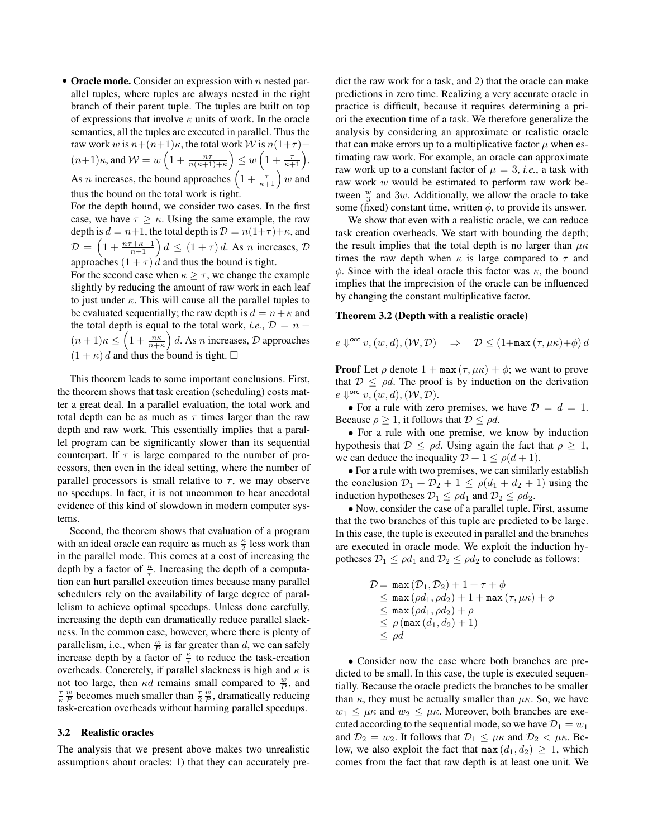• Oracle mode. Consider an expression with  $n$  nested parallel tuples, where tuples are always nested in the right branch of their parent tuple. The tuples are built on top of expressions that involve  $\kappa$  units of work. In the oracle semantics, all the tuples are executed in parallel. Thus the raw work w is  $n+(n+1)\kappa$ , the total work W is  $n(1+\tau)+$  $(n+1)\kappa$ , and  $\mathcal{W}=w\left(1+\frac{n\tau}{n(\kappa+1)+\kappa}\right)\leq w\left(1+\frac{\tau}{\kappa+1}\right).$ As *n* increases, the bound approaches  $\left(1 + \frac{\tau}{\kappa + 1}\right)w$  and thus the bound on the total work is tight.

For the depth bound, we consider two cases. In the first case, we have  $\tau \geq \kappa$ . Using the same example, the raw depth is  $d = n+1$ , the total depth is  $\mathcal{D} = n(1+\tau)+\kappa$ , and  $\mathcal{D} = \left(1 + \frac{n\tau + \kappa - 1}{n+1}\right)d \le (1+\tau)d$ . As *n* increases,  $\mathcal{D}$ approaches  $(1 + \tau) d$  and thus the bound is tight.

For the second case when  $\kappa > \tau$ , we change the example slightly by reducing the amount of raw work in each leaf to just under  $\kappa$ . This will cause all the parallel tuples to be evaluated sequentially; the raw depth is  $d = n + \kappa$  and the total depth is equal to the total work, *i.e.*,  $\mathcal{D} = n +$  $(n+1)\kappa \leq \left(1+\frac{n\kappa}{n+\kappa}\right)d$ . As n increases,  $\mathcal D$  approaches  $(1 + \kappa) d$  and thus the bound is tight.  $\square$ 

This theorem leads to some important conclusions. First, the theorem shows that task creation (scheduling) costs matter a great deal. In a parallel evaluation, the total work and total depth can be as much as  $\tau$  times larger than the raw depth and raw work. This essentially implies that a parallel program can be significantly slower than its sequential counterpart. If  $\tau$  is large compared to the number of processors, then even in the ideal setting, where the number of parallel processors is small relative to  $\tau$ , we may observe no speedups. In fact, it is not uncommon to hear anecdotal evidence of this kind of slowdown in modern computer systems.

Second, the theorem shows that evaluation of a program with an ideal oracle can require as much as  $\frac{\kappa}{2}$  less work than in the parallel mode. This comes at a cost of increasing the depth by a factor of  $\frac{\kappa}{\tau}$ . Increasing the depth of a computation can hurt parallel execution times because many parallel schedulers rely on the availability of large degree of parallelism to achieve optimal speedups. Unless done carefully, increasing the depth can dramatically reduce parallel slackness. In the common case, however, where there is plenty of parallelism, i.e., when  $\frac{w}{P}$  is far greater than d, we can safely increase depth by a factor of  $\frac{\kappa}{\tau}$  to reduce the task-creation overheads. Concretely, if parallel slackness is high and  $\kappa$  is not too large, then  $\kappa d$  remains small compared to  $\frac{w}{P}$ , and  $rac{\tau}{\kappa} \frac{w}{P}$  becomes much smaller than  $rac{\tau}{2} \frac{w}{P}$ , dramatically reducing task-creation overheads without harming parallel speedups.

#### 3.2 Realistic oracles

The analysis that we present above makes two unrealistic assumptions about oracles: 1) that they can accurately predict the raw work for a task, and 2) that the oracle can make predictions in zero time. Realizing a very accurate oracle in practice is difficult, because it requires determining a priori the execution time of a task. We therefore generalize the analysis by considering an approximate or realistic oracle that can make errors up to a multiplicative factor  $\mu$  when estimating raw work. For example, an oracle can approximate raw work up to a constant factor of  $\mu = 3$ , *i.e.*, a task with raw work w would be estimated to perform raw work between  $\frac{w}{3}$  and 3w. Additionally, we allow the oracle to take some (fixed) constant time, written  $\phi$ , to provide its answer.

We show that even with a realistic oracle, we can reduce task creation overheads. We start with bounding the depth; the result implies that the total depth is no larger than  $\mu \kappa$ times the raw depth when  $\kappa$  is large compared to  $\tau$  and  $φ$ . Since with the ideal oracle this factor was  $κ$ , the bound implies that the imprecision of the oracle can be influenced by changing the constant multiplicative factor.

## Theorem 3.2 (Depth with a realistic oracle)

$$
e \Downarrow^{\text{orc}} v, (w, d), (\mathcal{W}, \mathcal{D}) \quad \Rightarrow \quad \mathcal{D} \le (1 + \max(\tau, \mu \kappa) + \phi) d
$$

**Proof** Let  $\rho$  denote  $1 + \max(\tau, \mu \kappa) + \phi$ ; we want to prove that  $\mathcal{D} \leq \rho d$ . The proof is by induction on the derivation  $e \Downarrow^{\text{orc}} v, (w, d), (\mathcal{W}, \mathcal{D}).$ 

• For a rule with zero premises, we have  $\mathcal{D} = d = 1$ . Because  $\rho \geq 1$ , it follows that  $\mathcal{D} \leq \rho d$ .

• For a rule with one premise, we know by induction hypothesis that  $\mathcal{D} \leq \rho d$ . Using again the fact that  $\rho \geq 1$ , we can deduce the inequality  $\mathcal{D} + 1 \leq \rho(d+1)$ .

• For a rule with two premises, we can similarly establish the conclusion  $\mathcal{D}_1 + \mathcal{D}_2 + 1 \leq \rho(d_1 + d_2 + 1)$  using the induction hypotheses  $\mathcal{D}_1 \leq \rho d_1$  and  $\mathcal{D}_2 \leq \rho d_2$ .

• Now, consider the case of a parallel tuple. First, assume that the two branches of this tuple are predicted to be large. In this case, the tuple is executed in parallel and the branches are executed in oracle mode. We exploit the induction hypotheses  $\mathcal{D}_1 \leq \rho d_1$  and  $\mathcal{D}_2 \leq \rho d_2$  to conclude as follows:

$$
D = \max (D_1, D_2) + 1 + \tau + \phi
$$
  
\n
$$
\leq \max (\rho d_1, \rho d_2) + 1 + \max (\tau, \mu \kappa) + \phi
$$
  
\n
$$
\leq \max (\rho d_1, \rho d_2) + \rho
$$
  
\n
$$
\leq \rho (\max (d_1, d_2) + 1)
$$
  
\n
$$
\leq \rho d
$$

• Consider now the case where both branches are predicted to be small. In this case, the tuple is executed sequentially. Because the oracle predicts the branches to be smaller than  $\kappa$ , they must be actually smaller than  $\mu\kappa$ . So, we have  $w_1 \leq \mu \kappa$  and  $w_2 \leq \mu \kappa$ . Moreover, both branches are executed according to the sequential mode, so we have  $\mathcal{D}_1 = w_1$ and  $\mathcal{D}_2 = w_2$ . It follows that  $\mathcal{D}_1 \leq \mu \kappa$  and  $\mathcal{D}_2 < \mu \kappa$ . Below, we also exploit the fact that  $\max(d_1, d_2) \geq 1$ , which comes from the fact that raw depth is at least one unit. We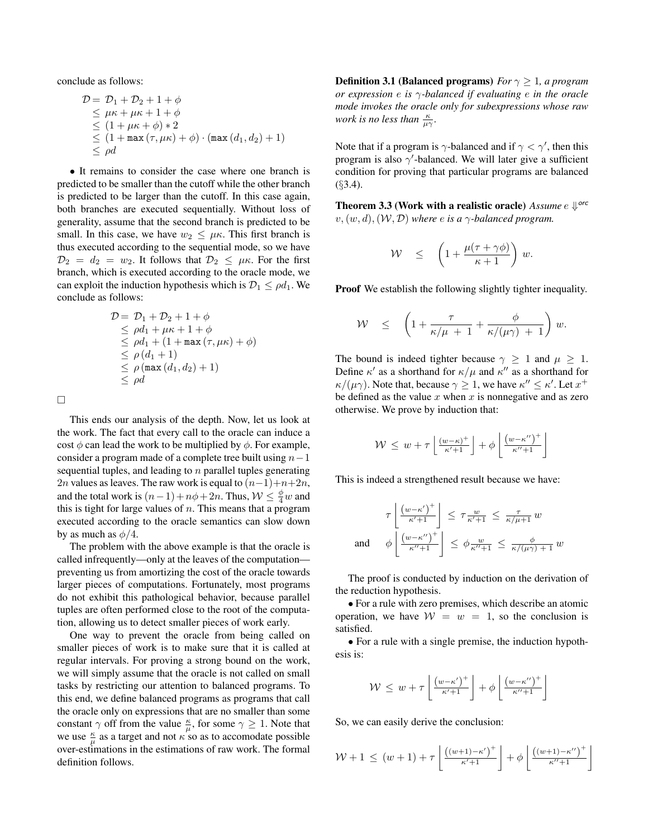conclude as follows:

$$
D = D_1 + D_2 + 1 + \phi
$$
  
\n
$$
\leq \mu \kappa + \mu \kappa + 1 + \phi
$$
  
\n
$$
\leq (1 + \mu \kappa + \phi) * 2
$$
  
\n
$$
\leq (1 + \max (\tau, \mu \kappa) + \phi) \cdot (\max (d_1, d_2) + 1)
$$
  
\n
$$
\leq \rho d
$$

• It remains to consider the case where one branch is predicted to be smaller than the cutoff while the other branch is predicted to be larger than the cutoff. In this case again, both branches are executed sequentially. Without loss of generality, assume that the second branch is predicted to be small. In this case, we have  $w_2 \leq \mu \kappa$ . This first branch is thus executed according to the sequential mode, so we have  $\mathcal{D}_2 = d_2 = w_2$ . It follows that  $\mathcal{D}_2 \leq \mu \kappa$ . For the first branch, which is executed according to the oracle mode, we can exploit the induction hypothesis which is  $\mathcal{D}_1 \leq \rho d_1$ . We conclude as follows:

$$
\begin{aligned} \mathcal{D} &= \mathcal{D}_1 + \mathcal{D}_2 + 1 + \phi \\ &\leq \rho d_1 + \mu \kappa + 1 + \phi \\ &\leq \rho d_1 + (1 + \max(\tau, \mu \kappa) + \phi) \\ &\leq \rho \left( d_1 + 1 \right) \\ &\leq \rho \left( \max\left( d_1, d_2 \right) + 1 \right) \\ &\leq \rho d \end{aligned}
$$

 $\Box$ 

This ends our analysis of the depth. Now, let us look at the work. The fact that every call to the oracle can induce a cost  $\phi$  can lead the work to be multiplied by  $\phi$ . For example, consider a program made of a complete tree built using  $n-1$ sequential tuples, and leading to  $n$  parallel tuples generating 2n values as leaves. The raw work is equal to  $(n-1)+n+2n$ , and the total work is  $(n-1) + n\phi + 2n$ . Thus,  $\mathcal{W} \leq \frac{\phi}{4}w$  and this is tight for large values of  $n$ . This means that a program executed according to the oracle semantics can slow down by as much as  $\phi/4$ .

The problem with the above example is that the oracle is called infrequently—only at the leaves of the computation preventing us from amortizing the cost of the oracle towards larger pieces of computations. Fortunately, most programs do not exhibit this pathological behavior, because parallel tuples are often performed close to the root of the computation, allowing us to detect smaller pieces of work early.

One way to prevent the oracle from being called on smaller pieces of work is to make sure that it is called at regular intervals. For proving a strong bound on the work, we will simply assume that the oracle is not called on small tasks by restricting our attention to balanced programs. To this end, we define balanced programs as programs that call the oracle only on expressions that are no smaller than some constant  $\gamma$  off from the value  $\frac{\kappa}{\mu}$ , for some  $\gamma \geq 1$ . Note that we use  $\frac{\kappa}{\mu}$  as a target and not  $\kappa$  so as to accomodate possible over-estimations in the estimations of raw work. The formal definition follows.

**Definition 3.1 (Balanced programs)** *For*  $\gamma \geq 1$ *, a program or expression* e *is* γ*-balanced if evaluating* e *in the oracle mode invokes the oracle only for subexpressions whose raw work is no less than*  $\frac{\kappa}{\mu \gamma}$ *.* 

Note that if a program is  $\gamma$ -balanced and if  $\gamma < \gamma'$ , then this program is also  $\gamma'$ -balanced. We will later give a sufficient condition for proving that particular programs are balanced (§3.4).

Theorem 3.3 (Work with a realistic oracle) *Assume* e ↓<sup>orc</sup>  $v,(w,d),(\mathcal{W},\mathcal{D})$  *where e is a*  $\gamma$ *-balanced program.* 

$$
\mathcal{W} \leq \left(1 + \frac{\mu(\tau + \gamma \phi)}{\kappa + 1}\right) w.
$$

Proof We establish the following slightly tighter inequality.

$$
\mathcal{W} \leq \left(1 + \frac{\tau}{\kappa/\mu + 1} + \frac{\phi}{\kappa/(\mu\gamma) + 1}\right) w.
$$

The bound is indeed tighter because  $\gamma \geq 1$  and  $\mu \geq 1$ . Define  $\kappa'$  as a shorthand for  $\kappa/\mu$  and  $\kappa''$  as a shorthand for  $\kappa/(\mu\gamma)$ . Note that, because  $\gamma \geq 1$ , we have  $\kappa'' \leq \kappa'$ . Let  $x^+$ be defined as the value  $x$  when  $x$  is nonnegative and as zero otherwise. We prove by induction that:

$$
\mathcal{W} \leq w + \tau \left\lfloor \frac{(w-\kappa)^{+}}{\kappa'+1} \right\rfloor + \phi \left\lfloor \frac{(w-\kappa'')^{+}}{\kappa''+1} \right\rfloor
$$

This is indeed a strengthened result because we have:

$$
\tau \left[ \frac{(w - \kappa')^+}{\kappa' + 1} \right] \le \tau \frac{w}{\kappa' + 1} \le \frac{\tau}{\kappa / \mu + 1} w
$$
  
and 
$$
\phi \left[ \frac{(w - \kappa'')^+}{\kappa'' + 1} \right] \le \phi \frac{w}{\kappa'' + 1} \le \frac{\phi}{\kappa / (\mu \gamma) + 1} w
$$

The proof is conducted by induction on the derivation of the reduction hypothesis.

• For a rule with zero premises, which describe an atomic operation, we have  $W = w = 1$ , so the conclusion is satisfied.

• For a rule with a single premise, the induction hypothesis is:

$$
\mathcal{W} \leq w + \tau \left[ \frac{(w - \kappa')^{+}}{\kappa' + 1} \right] + \phi \left[ \frac{(w - \kappa'')^{+}}{\kappa'' + 1} \right]
$$

So, we can easily derive the conclusion:

$$
\mathcal{W} + 1 \le (w+1) + \tau \left\lfloor \frac{((w+1)-\kappa')^{+}}{\kappa'+1} \right\rfloor + \phi \left\lfloor \frac{((w+1)-\kappa'')^{+}}{\kappa''+1} \right\rfloor
$$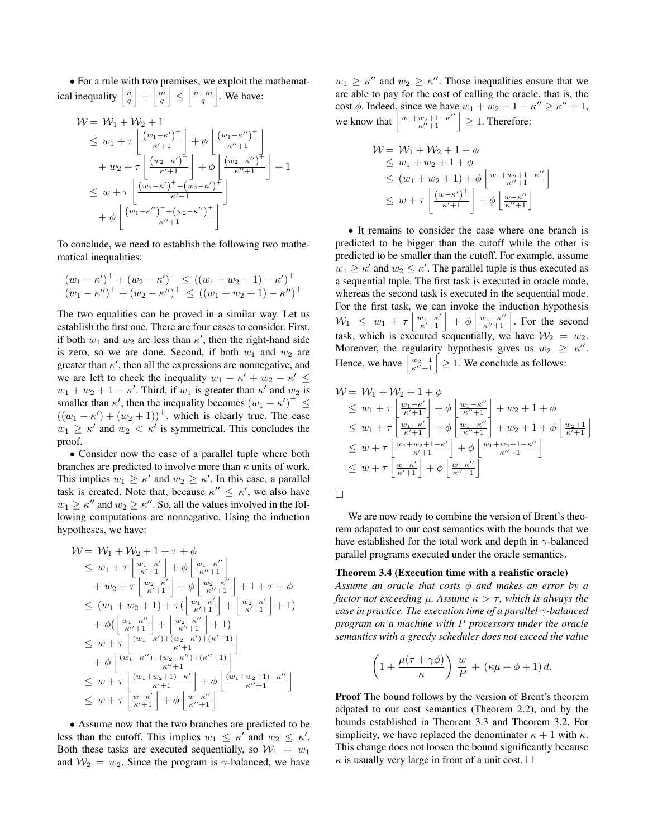• For a rule with two premises, we exploit the mathematical inequality  $\left|\frac{n}{q}\right| + \left|\frac{m}{q}\right| \leq \left|\frac{n+m}{q}\right|$ . We have:

$$
\mathcal{W} = \mathcal{W}_1 + \mathcal{W}_2 + 1
$$
\n
$$
\leq w_1 + \tau \left[ \frac{(w_1 - \kappa')^+}{\kappa' + 1} \right] + \phi \left[ \frac{(w_1 - \kappa'')^+}{\kappa' + 1} \right]
$$
\n
$$
+ w_2 + \tau \left[ \frac{(w_2 - \kappa')^+}{\kappa' + 1} \right] + \phi \left[ \frac{(w_2 - \kappa')^+}{\kappa' + 1} \right] + 1
$$
\n
$$
\leq w + \tau \left[ \frac{(w_1 - \kappa')^+ + (w_2 - \kappa')^+}{\kappa' + 1} \right]
$$
\n
$$
+ \phi \left[ \frac{(w_1 - \kappa')^+ + (w_2 - \kappa')^+}{\kappa' + 1} \right]
$$

To conclude, we need to establish the following two mathematical inequalities:

$$
(w_1 - \kappa')^+ + (w_2 - \kappa')^+ \le ((w_1 + w_2 + 1) - \kappa')^+
$$
  

$$
(w_1 - \kappa'')^+ + (w_2 - \kappa'')^+ \le ((w_1 + w_2 + 1) - \kappa'')^+
$$

The two equalities can be proved in a similar way. Let us establish the first one. There are four cases to consider. First, if both  $w_1$  and  $w_2$  are less than  $\kappa'$ , then the right-hand side is zero, so we are done. Second, if both  $w_1$  and  $w_2$  are greater than  $\kappa'$ , then all the expressions are nonnegative, and we are left to check the inequality  $w_1 - \kappa' + w_2 - \kappa' \leq$  $w_1 + w_2 + 1 - \kappa'$ . Third, if  $w_1$  is greater than  $\kappa'$  and  $w_2$  is smaller than  $\kappa'$ , then the inequality becomes  $(w_1 - \kappa')^+ \leq$  $((w_1 - \kappa') + (w_2 + 1))^+$ , which is clearly true. The case  $w_1 \ge \kappa'$  and  $w_2 < \kappa'$  is symmetrical. This concludes the proof.

• Consider now the case of a parallel tuple where both branches are predicted to involve more than  $\kappa$  units of work. This implies  $w_1 \geq \kappa'$  and  $w_2 \geq \kappa'$ . In this case, a parallel task is created. Note that, because  $\kappa'' \leq \kappa'$ , we also have  $w_1 \ge \kappa''$  and  $w_2 \ge \kappa''$ . So, all the values involved in the following computations are nonnegative. Using the induction hypotheses, we have:

$$
\begin{array}{l} \mathcal{W} = \ \mathcal{W}_1 + \mathcal{W}_2 + 1 + \tau + \phi \\ \leq \ w_1 + \tau \left\lfloor \frac{w_1 - \kappa'}{\kappa' + 1} \right\rfloor + \phi \left\lfloor \frac{w_1 - \kappa''}{\kappa'' + 1} \right\rfloor \\ \quad + w_2 + \tau \left\lfloor \frac{w_2 - \kappa'}{\kappa' + 1} \right\rfloor + \phi \left\lfloor \frac{w_2 - \kappa''}{\kappa'' + 1} \right\rfloor + 1 + \tau + \phi \\ \leq \ (w_1 + w_2 + 1) + \tau (\left\lfloor \frac{w_1 - \kappa'}{\kappa' + 1} \right\rfloor + \left\lfloor \frac{w_2 - \kappa'}{\kappa' + 1} \right\rfloor + 1) \\ \quad + \ \phi (\left\lfloor \frac{w_1 - \kappa''}{\kappa'' + 1} \right\rfloor + \left\lfloor \frac{w_2 - \kappa''}{\kappa' + 1} \right\rfloor + 1) \\ \leq w + \tau \left\lfloor \frac{(w_1 - \kappa') + (w_2 - \kappa') + (\kappa' + 1)}{\kappa' + 1} \right\rfloor \\ \quad + \ \phi \left\lfloor \frac{(w_1 - \kappa'') + (w_2 - \kappa'') + (\kappa'' + 1)}{\kappa'' + 1} \right\rfloor \\ \leq w + \tau \left\lfloor \frac{(w_1 + w_2 + 1) - \kappa'}{\kappa' + 1} \right\rfloor + \phi \left\lfloor \frac{(w_1 + w_2 + 1) - \kappa''}{\kappa'' + 1} \right\rfloor \\ \leq w + \tau \left\lfloor \frac{w - \kappa'}{\kappa' + 1} \right\rfloor + \phi \left\lfloor \frac{w - \kappa''}{\kappa'' + 1} \right\rfloor \end{array}
$$

• Assume now that the two branches are predicted to be less than the cutoff. This implies  $w_1 \leq \kappa'$  and  $w_2 \leq \kappa'$ . Both these tasks are executed sequentially, so  $W_1 = w_1$ and  $W_2 = w_2$ . Since the program is  $\gamma$ -balanced, we have

 $w_1 \geq \kappa''$  and  $w_2 \geq \kappa''$ . Those inequalities ensure that we are able to pay for the cost of calling the oracle, that is, the cost  $\phi$ . Indeed, since we have  $w_1 + w_2 + 1 - \kappa'' \ge \kappa'' + 1$ , we know that  $\left| \frac{w_1 + w_2 + 1 - \kappa''}{\kappa'' + 1} \right| \geq 1$ . Therefore:

$$
\mathcal{W} = \mathcal{W}_1 + \mathcal{W}_2 + 1 + \phi
$$
\n
$$
\leq w_1 + w_2 + 1 + \phi
$$
\n
$$
\leq (w_1 + w_2 + 1) + \phi \left\lfloor \frac{w_1 + w_2 + 1 - \kappa''}{\kappa'' + 1} \right\rfloor
$$
\n
$$
\leq w + \tau \left\lfloor \frac{(w - \kappa')^{+}}{\kappa' + 1} \right\rfloor + \phi \left\lfloor \frac{w - \kappa''}{\kappa'' + 1} \right\rfloor
$$

• It remains to consider the case where one branch is predicted to be bigger than the cutoff while the other is predicted to be smaller than the cutoff. For example, assume  $w_1 \ge \kappa'$  and  $w_2 \le \kappa'$ . The parallel tuple is thus executed as a sequential tuple. The first task is executed in oracle mode, whereas the second task is executed in the sequential mode. For the first task, we can invoke the induction hypothesis  $W_1 \leq w_1 + \tau \left| \frac{w_1 - \kappa'}{\kappa' + 1} \right| + \phi \left| \frac{w_1 - \kappa''}{\kappa'' + 1} \right|$ . For the second task, which is executed sequentially, we have  $\mathcal{W}_2 = w_2$ . Moreover, the regularity hypothesis gives us  $w_2 \ge \kappa''$ . Hence, we have  $\left|\frac{w_2+1}{\kappa''+1}\right| \geq 1$ . We conclude as follows:

$$
\mathcal{W} = \mathcal{W}_1 + \mathcal{W}_2 + 1 + \phi
$$
\n
$$
\leq w_1 + \tau \left[ \frac{w_1 - \kappa'}{\kappa' + 1} \right] + \phi \left[ \frac{w_1 - \kappa''}{\kappa'' + 1} \right] + w_2 + 1 + \phi
$$
\n
$$
\leq w_1 + \tau \left[ \frac{w_1 - \kappa'}{\kappa' + 1} \right] + \phi \left[ \frac{w_1 - \kappa''}{\kappa'' + 1} \right] + w_2 + 1 + \phi \left[ \frac{w_2 + 1}{\kappa' + 1} \right]
$$
\n
$$
\leq w + \tau \left[ \frac{w_1 + w_2 + 1 - \kappa'}{\kappa' + 1} \right] + \phi \left[ \frac{w_1 + w_2 + 1 - \kappa''}{\kappa'' + 1} \right]
$$
\n
$$
\leq w + \tau \left[ \frac{w - \kappa'}{\kappa' + 1} \right] + \phi \left[ \frac{w - \kappa''}{\kappa'' + 1} \right]
$$

 $\Box$ 

We are now ready to combine the version of Brent's theorem adapated to our cost semantics with the bounds that we have established for the total work and depth in  $\gamma$ -balanced parallel programs executed under the oracle semantics.

#### Theorem 3.4 (Execution time with a realistic oracle)

*Assume an oracle that costs* φ *and makes an error by a factor not exceeding*  $\mu$ *. Assume*  $\kappa > \tau$ *, which is always the case in practice. The execution time of a parallel* γ*-balanced program on a machine with* P *processors under the oracle semantics with a greedy scheduler does not exceed the value*

$$
\left(1+\frac{\mu(\tau+\gamma\phi)}{\kappa}\right)\frac{w}{P}+\left(\kappa\mu+\phi+1\right)d.
$$

Proof The bound follows by the version of Brent's theorem adpated to our cost semantics (Theorem 2.2), and by the bounds established in Theorem 3.3 and Theorem 3.2. For simplicity, we have replaced the denominator  $\kappa + 1$  with  $\kappa$ . This change does not loosen the bound significantly because  $\kappa$  is usually very large in front of a unit cost.  $\Box$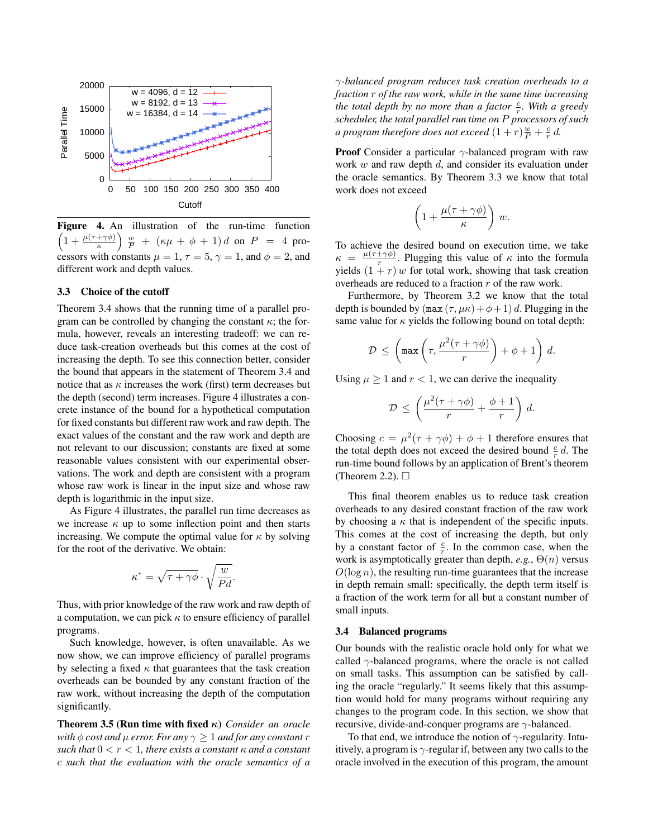

Figure 4. An illustration of the run-time function  $\left(1+\frac{\mu(\tau+\gamma\phi)}{\kappa}\right)$  $\frac{w}{P}$  +  $(\kappa \mu + \phi + 1) d$  on  $P = 4$  processors with constants  $\mu = 1$ ,  $\tau = 5$ ,  $\gamma = 1$ , and  $\phi = 2$ , and different work and depth values.

#### 3.3 Choice of the cutoff

Theorem 3.4 shows that the running time of a parallel program can be controlled by changing the constant  $\kappa$ ; the formula, however, reveals an interesting tradeoff: we can reduce task-creation overheads but this comes at the cost of increasing the depth. To see this connection better, consider the bound that appears in the statement of Theorem 3.4 and notice that as  $\kappa$  increases the work (first) term decreases but the depth (second) term increases. Figure 4 illustrates a concrete instance of the bound for a hypothetical computation for fixed constants but different raw work and raw depth. The exact values of the constant and the raw work and depth are not relevant to our discussion; constants are fixed at some reasonable values consistent with our experimental observations. The work and depth are consistent with a program whose raw work is linear in the input size and whose raw depth is logarithmic in the input size.

As Figure 4 illustrates, the parallel run time decreases as we increase  $\kappa$  up to some inflection point and then starts increasing. We compute the optimal value for  $\kappa$  by solving for the root of the derivative. We obtain:

$$
\kappa^* = \sqrt{\tau + \gamma \phi} \cdot \sqrt{\frac{w}{Pd}}.
$$

Thus, with prior knowledge of the raw work and raw depth of a computation, we can pick  $\kappa$  to ensure efficiency of parallel programs.

Such knowledge, however, is often unavailable. As we now show, we can improve efficiency of parallel programs by selecting a fixed  $\kappa$  that guarantees that the task creation overheads can be bounded by any constant fraction of the raw work, without increasing the depth of the computation significantly.

Theorem 3.5 (Run time with fixed κ) *Consider an oracle with*  $\phi$  *cost and*  $\mu$  *error. For any*  $\gamma > 1$  *and for any constant* r *such that*  $0 < r < 1$ *, there exists a constant*  $\kappa$  *and a constant* c *such that the evaluation with the oracle semantics of a* γ*-balanced program reduces task creation overheads to a fraction* r *of the raw work, while in the same time increasing* the total depth by no more than a factor  $\frac{c}{r}$ . With a greedy *scheduler, the total parallel run time on* P *processors of such a* program therefore does not exceed  $(1+r)\frac{w}{P} + \frac{c}{r}d$ .

**Proof** Consider a particular  $\gamma$ -balanced program with raw work  $w$  and raw depth  $d$ , and consider its evaluation under the oracle semantics. By Theorem 3.3 we know that total work does not exceed

$$
\left(1+\frac{\mu(\tau+\gamma\phi)}{\kappa}\right)\,w.
$$

To achieve the desired bound on execution time, we take  $\kappa = \frac{\mu(\tau + \gamma \phi)}{r}$  $\frac{f(\gamma \varphi)}{r}$ . Plugging this value of  $\kappa$  into the formula yields  $(1 + r)$  w for total work, showing that task creation overheads are reduced to a fraction  $r$  of the raw work.

Furthermore, by Theorem 3.2 we know that the total depth is bounded by  $(\max(\tau, \mu \kappa) + \phi + 1) d$ . Plugging in the same value for  $\kappa$  yields the following bound on total depth:

$$
\mathcal{D} \, \leq \, \left( \max \left( \tau, \frac{\mu^2(\tau + \gamma \phi)}{r} \right) + \phi + 1 \right) \, d.
$$

Using  $\mu \geq 1$  and  $r < 1$ , we can derive the inequality

$$
\mathcal{D} \le \left(\frac{\mu^2(\tau + \gamma \phi)}{r} + \frac{\phi + 1}{r}\right) d.
$$

Choosing  $c = \mu^2(\tau + \gamma \phi) + \phi + 1$  therefore ensures that the total depth does not exceed the desired bound  $\frac{c}{r}$  d. The run-time bound follows by an application of Brent's theorem (Theorem 2.2).  $\Box$ 

This final theorem enables us to reduce task creation overheads to any desired constant fraction of the raw work by choosing a  $\kappa$  that is independent of the specific inputs. This comes at the cost of increasing the depth, but only by a constant factor of  $\frac{c}{r}$ . In the common case, when the work is asymptotically greater than depth,  $e.g., \Theta(n)$  versus  $O(\log n)$ , the resulting run-time guarantees that the increase in depth remain small: specifically, the depth term itself is a fraction of the work term for all but a constant number of small inputs.

#### 3.4 Balanced programs

Our bounds with the realistic oracle hold only for what we called  $\gamma$ -balanced programs, where the oracle is not called on small tasks. This assumption can be satisfied by calling the oracle "regularly." It seems likely that this assumption would hold for many programs without requiring any changes to the program code. In this section, we show that recursive, divide-and-conquer programs are  $\gamma$ -balanced.

To that end, we introduce the notion of  $\gamma$ -regularity. Intuitively, a program is  $\gamma$ -regular if, between any two calls to the oracle involved in the execution of this program, the amount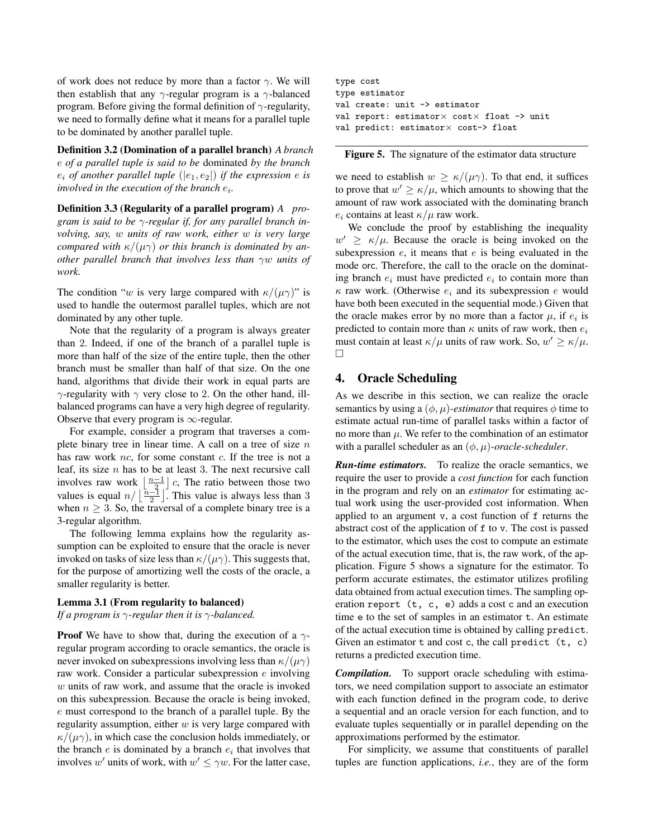of work does not reduce by more than a factor  $\gamma$ . We will then establish that any  $\gamma$ -regular program is a  $\gamma$ -balanced program. Before giving the formal definition of  $\gamma$ -regularity, we need to formally define what it means for a parallel tuple to be dominated by another parallel tuple.

Definition 3.2 (Domination of a parallel branch) *A branch* e *of a parallel tuple is said to be* dominated *by the branch*  $e_i$  *of another parallel tuple*  $(|e_1, e_2|)$  *if the expression e is involved in the execution of the branch*  $e_i$ *.* 

Definition 3.3 (Regularity of a parallel program) *A program is said to be* γ*-regular if, for any parallel branch involving, say,* w *units of raw work, either* w *is very large compared with*  $\kappa/(\mu\gamma)$  *or this branch is dominated by another parallel branch that involves less than* γw *units of work.*

The condition "w is very large compared with  $\kappa/(\mu\gamma)$ " is used to handle the outermost parallel tuples, which are not dominated by any other tuple.

Note that the regularity of a program is always greater than 2. Indeed, if one of the branch of a parallel tuple is more than half of the size of the entire tuple, then the other branch must be smaller than half of that size. On the one hand, algorithms that divide their work in equal parts are  $\gamma$ -regularity with  $\gamma$  very close to 2. On the other hand, illbalanced programs can have a very high degree of regularity. Observe that every program is  $\infty$ -regular.

For example, consider a program that traverses a complete binary tree in linear time. A call on a tree of size  $n$ has raw work  $nc$ , for some constant  $c$ . If the tree is not a leaf, its size  $n$  has to be at least 3. The next recursive call involves raw work  $\left\lfloor \frac{n-1}{2} \right\rfloor c$ , The ratio between those two values is equal  $n / \left\lfloor \frac{n-1}{2} \right\rfloor$ . This value is always less than 3 when  $n \geq 3$ . So, the traversal of a complete binary tree is a 3-regular algorithm.

The following lemma explains how the regularity assumption can be exploited to ensure that the oracle is never invoked on tasks of size less than  $\kappa/(\mu\gamma)$ . This suggests that, for the purpose of amortizing well the costs of the oracle, a smaller regularity is better.

#### Lemma 3.1 (From regularity to balanced)

*If a program is* γ*-regular then it is* γ*-balanced.*

**Proof** We have to show that, during the execution of a  $\gamma$ regular program according to oracle semantics, the oracle is never invoked on subexpressions involving less than  $\kappa/(\mu\gamma)$ raw work. Consider a particular subexpression  $e$  involving  $w$  units of raw work, and assume that the oracle is invoked on this subexpression. Because the oracle is being invoked, e must correspond to the branch of a parallel tuple. By the regularity assumption, either  $w$  is very large compared with  $\kappa/(\mu\gamma)$ , in which case the conclusion holds immediately, or the branch  $e$  is dominated by a branch  $e_i$  that involves that involves w' units of work, with  $w' \leq \gamma w$ . For the latter case,

```
type cost
type estimator
val create: unit -> estimator
val report: estimator× cost× float -> unit
val predict: estimator× cost-> float
```
Figure 5. The signature of the estimator data structure

we need to establish  $w \ge \kappa/(\mu \gamma)$ . To that end, it suffices to prove that  $w' \ge \frac{\kappa}{\mu}$ , which amounts to showing that the amount of raw work associated with the dominating branch  $e_i$  contains at least  $\kappa/\mu$  raw work.

We conclude the proof by establishing the inequality  $w' \ge \kappa/\mu$ . Because the oracle is being invoked on the subexpression  $e$ , it means that  $e$  is being evaluated in the mode orc. Therefore, the call to the oracle on the dominating branch  $e_i$  must have predicted  $e_i$  to contain more than  $\kappa$  raw work. (Otherwise  $e_i$  and its subexpression e would have both been executed in the sequential mode.) Given that the oracle makes error by no more than a factor  $\mu$ , if  $e_i$  is predicted to contain more than  $\kappa$  units of raw work, then  $e_i$ must contain at least  $\kappa/\mu$  units of raw work. So,  $w' \ge \kappa/\mu$ .  $\Box$ 

# 4. Oracle Scheduling

As we describe in this section, we can realize the oracle semantics by using a  $(\phi, \mu)$ -*estimator* that requires  $\phi$  time to estimate actual run-time of parallel tasks within a factor of no more than  $\mu$ . We refer to the combination of an estimator with a parallel scheduler as an  $(\phi, \mu)$ *-oracle-scheduler*.

*Run-time estimators.* To realize the oracle semantics, we require the user to provide a *cost function* for each function in the program and rely on an *estimator* for estimating actual work using the user-provided cost information. When applied to an argument v, a cost function of f returns the abstract cost of the application of f to v. The cost is passed to the estimator, which uses the cost to compute an estimate of the actual execution time, that is, the raw work, of the application. Figure 5 shows a signature for the estimator. To perform accurate estimates, the estimator utilizes profiling data obtained from actual execution times. The sampling operation report (t, c, e) adds a cost c and an execution time e to the set of samples in an estimator t. An estimate of the actual execution time is obtained by calling predict. Given an estimator  $t$  and cost c, the call predict  $(t, c)$ returns a predicted execution time.

*Compilation.* To support oracle scheduling with estimators, we need compilation support to associate an estimator with each function defined in the program code, to derive a sequential and an oracle version for each function, and to evaluate tuples sequentially or in parallel depending on the approximations performed by the estimator.

For simplicity, we assume that constituents of parallel tuples are function applications, *i.e.*, they are of the form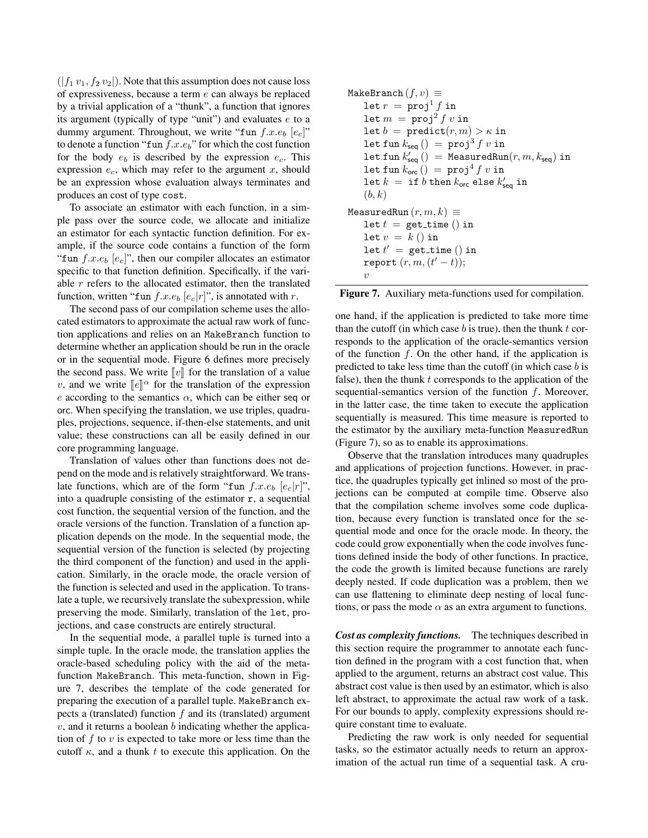$(|f_1 v_1, f_2 v_2|)$ . Note that this assumption does not cause loss of expressiveness, because a term e can always be replaced by a trivial application of a "thunk", a function that ignores its argument (typically of type "unit") and evaluates  $e$  to a dummy argument. Throughout, we write "fun  $f.x.e_b$   $[e_c]$ " to denote a function "fun  $f.x.e<sub>b</sub>$ " for which the cost function for the body  $e_b$  is described by the expression  $e_c$ . This expression  $e_c$ , which may refer to the argument x, should be an expression whose evaluation always terminates and produces an cost of type cost.

To associate an estimator with each function, in a simple pass over the source code, we allocate and initialize an estimator for each syntactic function definition. For example, if the source code contains a function of the form "fun  $f.x.e_b$   $[e_c]$ ", then our compiler allocates an estimator specific to that function definition. Specifically, if the variable  $r$  refers to the allocated estimator, then the translated function, written "fun  $f.x.e_b$   $[e_c|r]$ ", is annotated with r.

The second pass of our compilation scheme uses the allocated estimators to approximate the actual raw work of function applications and relies on an MakeBranch function to determine whether an application should be run in the oracle or in the sequential mode. Figure 6 defines more precisely the second pass. We write  $\llbracket v \rrbracket$  for the translation of a value v, and we write  $\llbracket e \rrbracket^{\alpha}$  for the translation of the expression  $\alpha$  according to the semantics  $\alpha$ , which can be either seq on e according to the semantics  $\alpha$ , which can be either seq or orc. When specifying the translation, we use triples, quadruples, projections, sequence, if-then-else statements, and unit value; these constructions can all be easily defined in our core programming language.

Translation of values other than functions does not depend on the mode and is relatively straightforward. We translate functions, which are of the form "fun  $f.x.e_b$   $[e_c|r]$ ", into a quadruple consisting of the estimator  $r$ , a sequential cost function, the sequential version of the function, and the oracle versions of the function. Translation of a function application depends on the mode. In the sequential mode, the sequential version of the function is selected (by projecting the third component of the function) and used in the application. Similarly, in the oracle mode, the oracle version of the function is selected and used in the application. To translate a tuple, we recursively translate the subexpression, while preserving the mode. Similarly, translation of the let, projections, and case constructs are entirely structural.

In the sequential mode, a parallel tuple is turned into a simple tuple. In the oracle mode, the translation applies the oracle-based scheduling policy with the aid of the metafunction MakeBranch. This meta-function, shown in Figure 7, describes the template of the code generated for preparing the execution of a parallel tuple. MakeBranch expects a (translated) function  $f$  and its (translated) argument  $v$ , and it returns a boolean  $b$  indicating whether the application of  $f$  to  $v$  is expected to take more or less time than the cutoff  $\kappa$ , and a thunk t to execute this application. On the

```
MakeBranch (f, v) \equivlet r = \text{proj}^1 f in
    let m = \text{proj}^2 f v in
    let b = \text{predict}(r, m) > \kappa in
    let fun k_{seq} () = proj<sup>3</sup> f v in
     \texttt{let fun}~k'_\textsf{seq}~()~=~\texttt{MeasuredRun}(r,m,k_\textsf{seq})~\texttt{in}let fun k_{\text{orc}} () = proj^4 f v in
     let k = \texttt{if } b \texttt{ then } k_{\sf{orc}} else k'_{\sf{seq}} in
    (b, k)MeasuredRun (r, m, k) \equivlet t = get_time() in
    let v = k() in
     let t' = get_time () in
     report (r, m, (t'-t));
    \upsilon
```
Figure 7. Auxiliary meta-functions used for compilation.

one hand, if the application is predicted to take more time than the cutoff (in which case  $b$  is true), then the thunk  $t$  corresponds to the application of the oracle-semantics version of the function  $f$ . On the other hand, if the application is predicted to take less time than the cutoff (in which case  $b$  is false), then the thunk  $t$  corresponds to the application of the sequential-semantics version of the function  $f$ . Moreover, in the latter case, the time taken to execute the application sequentially is measured. This time measure is reported to the estimator by the auxiliary meta-function MeasuredRun (Figure 7), so as to enable its approximations.

Observe that the translation introduces many quadruples and applications of projection functions. However, in practice, the quadruples typically get inlined so most of the projections can be computed at compile time. Observe also that the compilation scheme involves some code duplication, because every function is translated once for the sequential mode and once for the oracle mode. In theory, the code could grow exponentially when the code involves functions defined inside the body of other functions. In practice, the code the growth is limited because functions are rarely deeply nested. If code duplication was a problem, then we can use flattening to eliminate deep nesting of local functions, or pass the mode  $\alpha$  as an extra argument to functions.

*Cost as complexity functions.* The techniques described in this section require the programmer to annotate each function defined in the program with a cost function that, when applied to the argument, returns an abstract cost value. This abstract cost value is then used by an estimator, which is also left abstract, to approximate the actual raw work of a task. For our bounds to apply, complexity expressions should require constant time to evaluate.

Predicting the raw work is only needed for sequential tasks, so the estimator actually needs to return an approximation of the actual run time of a sequential task. A cru-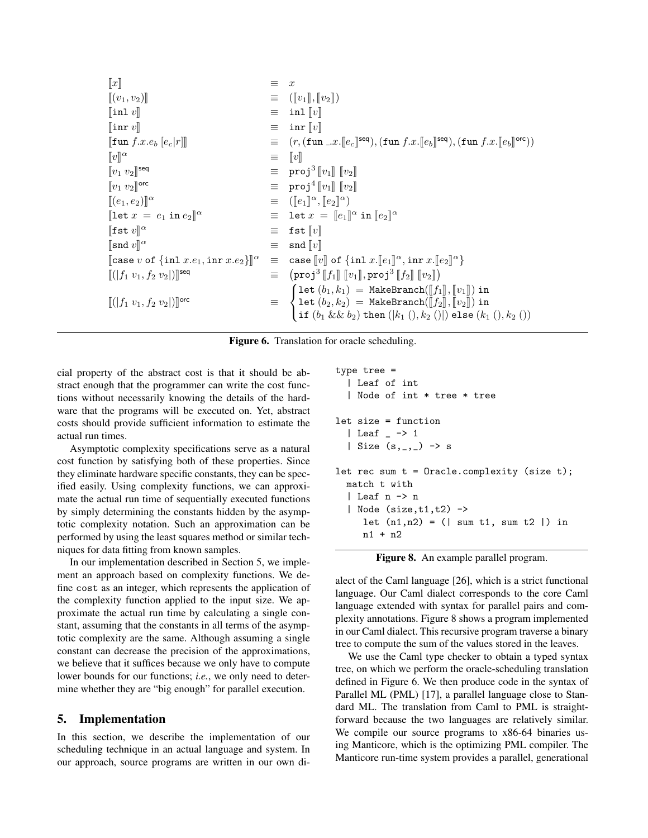| $\equiv x$ |                                                                                                                                                                                                                                                                                                                                                                                  |  |  |
|------------|----------------------------------------------------------------------------------------------------------------------------------------------------------------------------------------------------------------------------------------------------------------------------------------------------------------------------------------------------------------------------------|--|--|
|            | $\equiv (\llbracket v_1 \rrbracket, \llbracket v_2 \rrbracket)$                                                                                                                                                                                                                                                                                                                  |  |  |
|            | $\equiv$ inl $  v  $                                                                                                                                                                                                                                                                                                                                                             |  |  |
| $\equiv$   | $\frac{1}{2}$ inr  v                                                                                                                                                                                                                                                                                                                                                             |  |  |
|            | $\equiv (r, (\texttt{fun }  x. \ e_c\ ^{\texttt{seq}}), (\texttt{fun } f. x. \ e_b\ ^{\texttt{seq}}), (\texttt{fun } f. x. \ e_b\ ^{\texttt{orc}}))$                                                                                                                                                                                                                             |  |  |
|            | $\equiv$  v                                                                                                                                                                                                                                                                                                                                                                      |  |  |
|            | $\equiv$ proj <sup>3</sup> $[v_1]$ $[v_2]$                                                                                                                                                                                                                                                                                                                                       |  |  |
|            | $\equiv$ proj <sup>4</sup> $[v_1]$ $[v_2]$                                                                                                                                                                                                                                                                                                                                       |  |  |
|            | $\equiv$ $(\llbracket e_1 \rrbracket^{\alpha}, \llbracket e_2 \rrbracket^{\alpha})$                                                                                                                                                                                                                                                                                              |  |  |
|            | $\equiv$ let $x = [e_1]^{\alpha}$ in $[e_2]^{\alpha}$                                                                                                                                                                                                                                                                                                                            |  |  |
|            | $\equiv$ fst $  v  $                                                                                                                                                                                                                                                                                                                                                             |  |  |
|            | $\equiv$ snd   v                                                                                                                                                                                                                                                                                                                                                                 |  |  |
|            | $\equiv$ case $[v]$ of $\{\text{inl } x.\llbracket e_1 \rrbracket^\alpha, \text{inr } x.\llbracket e_2 \rrbracket^\alpha\}$                                                                                                                                                                                                                                                      |  |  |
|            | $\equiv$ (proj <sup>3</sup> [f <sub>1</sub> ] [v <sub>1</sub> ], proj <sup>3</sup> [f <sub>2</sub> ] [v <sub>2</sub> ])                                                                                                                                                                                                                                                          |  |  |
|            | $\equiv \begin{cases} \texttt{let}\ (b_1,k_1)\ =\ \texttt{MakeBranch}(\llbracket f_1 \rrbracket,\llbracket v_1 \rrbracket)\ \texttt{in} \\ \texttt{let}\ (b_2,k_2)\ =\ \texttt{MakeBranch}(\llbracket f_2 \rrbracket,\llbracket v_2 \rrbracket)\ \texttt{in} \\ \texttt{if}\ (b_1\ \&\&\ b_2)\ \texttt{then}\ ( k_1\ (),k_2\ () )\ \texttt{else}\ (k_1\ (),k_2\ ()) \end{cases}$ |  |  |
|            |                                                                                                                                                                                                                                                                                                                                                                                  |  |  |

Figure 6. Translation for oracle scheduling.

cial property of the abstract cost is that it should be abstract enough that the programmer can write the cost functions without necessarily knowing the details of the hardware that the programs will be executed on. Yet, abstract costs should provide sufficient information to estimate the actual run times.

Asymptotic complexity specifications serve as a natural cost function by satisfying both of these properties. Since they eliminate hardware specific constants, they can be specified easily. Using complexity functions, we can approximate the actual run time of sequentially executed functions by simply determining the constants hidden by the asymptotic complexity notation. Such an approximation can be performed by using the least squares method or similar techniques for data fitting from known samples.

In our implementation described in Section 5, we implement an approach based on complexity functions. We define cost as an integer, which represents the application of the complexity function applied to the input size. We approximate the actual run time by calculating a single constant, assuming that the constants in all terms of the asymptotic complexity are the same. Although assuming a single constant can decrease the precision of the approximations, we believe that it suffices because we only have to compute lower bounds for our functions; *i.e.*, we only need to determine whether they are "big enough" for parallel execution.

## 5. Implementation

In this section, we describe the implementation of our scheduling technique in an actual language and system. In our approach, source programs are written in our own di-

```
type tree =
  | Leaf of int
  | Node of int * tree * tree
let size = function
  \vert Leaf \vert -> 1
  | Size (s, -1) \rightarrow slet rec sum t = Oracle.complexity (size t);
  match t with
  | Leaf n -> n
  | Node (size,t1,t2) ->
     let (n1, n2) = (| sum t1, sum t2 |) in
     n1 + n2
```
Figure 8. An example parallel program.

alect of the Caml language [26], which is a strict functional language. Our Caml dialect corresponds to the core Caml language extended with syntax for parallel pairs and complexity annotations. Figure 8 shows a program implemented in our Caml dialect. This recursive program traverse a binary tree to compute the sum of the values stored in the leaves.

We use the Caml type checker to obtain a typed syntax tree, on which we perform the oracle-scheduling translation defined in Figure 6. We then produce code in the syntax of Parallel ML (PML) [17], a parallel language close to Standard ML. The translation from Caml to PML is straightforward because the two languages are relatively similar. We compile our source programs to x86-64 binaries using Manticore, which is the optimizing PML compiler. The Manticore run-time system provides a parallel, generational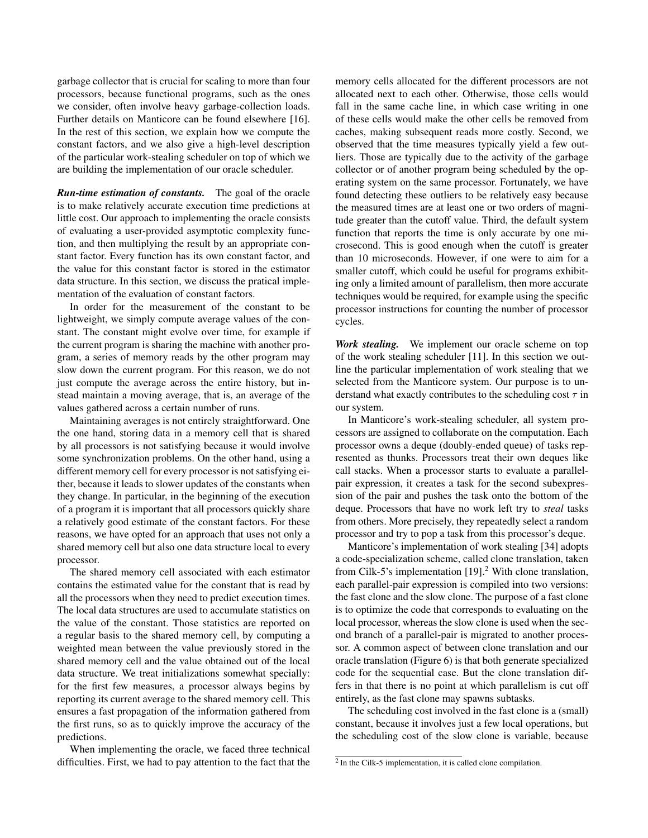garbage collector that is crucial for scaling to more than four processors, because functional programs, such as the ones we consider, often involve heavy garbage-collection loads. Further details on Manticore can be found elsewhere [16]. In the rest of this section, we explain how we compute the constant factors, and we also give a high-level description of the particular work-stealing scheduler on top of which we are building the implementation of our oracle scheduler.

*Run-time estimation of constants.* The goal of the oracle is to make relatively accurate execution time predictions at little cost. Our approach to implementing the oracle consists of evaluating a user-provided asymptotic complexity function, and then multiplying the result by an appropriate constant factor. Every function has its own constant factor, and the value for this constant factor is stored in the estimator data structure. In this section, we discuss the pratical implementation of the evaluation of constant factors.

In order for the measurement of the constant to be lightweight, we simply compute average values of the constant. The constant might evolve over time, for example if the current program is sharing the machine with another program, a series of memory reads by the other program may slow down the current program. For this reason, we do not just compute the average across the entire history, but instead maintain a moving average, that is, an average of the values gathered across a certain number of runs.

Maintaining averages is not entirely straightforward. One the one hand, storing data in a memory cell that is shared by all processors is not satisfying because it would involve some synchronization problems. On the other hand, using a different memory cell for every processor is not satisfying either, because it leads to slower updates of the constants when they change. In particular, in the beginning of the execution of a program it is important that all processors quickly share a relatively good estimate of the constant factors. For these reasons, we have opted for an approach that uses not only a shared memory cell but also one data structure local to every processor.

The shared memory cell associated with each estimator contains the estimated value for the constant that is read by all the processors when they need to predict execution times. The local data structures are used to accumulate statistics on the value of the constant. Those statistics are reported on a regular basis to the shared memory cell, by computing a weighted mean between the value previously stored in the shared memory cell and the value obtained out of the local data structure. We treat initializations somewhat specially: for the first few measures, a processor always begins by reporting its current average to the shared memory cell. This ensures a fast propagation of the information gathered from the first runs, so as to quickly improve the accuracy of the predictions.

When implementing the oracle, we faced three technical difficulties. First, we had to pay attention to the fact that the

memory cells allocated for the different processors are not allocated next to each other. Otherwise, those cells would fall in the same cache line, in which case writing in one of these cells would make the other cells be removed from caches, making subsequent reads more costly. Second, we observed that the time measures typically yield a few outliers. Those are typically due to the activity of the garbage collector or of another program being scheduled by the operating system on the same processor. Fortunately, we have found detecting these outliers to be relatively easy because the measured times are at least one or two orders of magnitude greater than the cutoff value. Third, the default system function that reports the time is only accurate by one microsecond. This is good enough when the cutoff is greater than 10 microseconds. However, if one were to aim for a smaller cutoff, which could be useful for programs exhibiting only a limited amount of parallelism, then more accurate techniques would be required, for example using the specific processor instructions for counting the number of processor cycles.

*Work stealing.* We implement our oracle scheme on top of the work stealing scheduler [11]. In this section we outline the particular implementation of work stealing that we selected from the Manticore system. Our purpose is to understand what exactly contributes to the scheduling cost  $\tau$  in our system.

In Manticore's work-stealing scheduler, all system processors are assigned to collaborate on the computation. Each processor owns a deque (doubly-ended queue) of tasks represented as thunks. Processors treat their own deques like call stacks. When a processor starts to evaluate a parallelpair expression, it creates a task for the second subexpression of the pair and pushes the task onto the bottom of the deque. Processors that have no work left try to *steal* tasks from others. More precisely, they repeatedly select a random processor and try to pop a task from this processor's deque.

Manticore's implementation of work stealing [34] adopts a code-specialization scheme, called clone translation, taken from Cilk-5's implementation  $[19]$ <sup>2</sup> With clone translation, each parallel-pair expression is compiled into two versions: the fast clone and the slow clone. The purpose of a fast clone is to optimize the code that corresponds to evaluating on the local processor, whereas the slow clone is used when the second branch of a parallel-pair is migrated to another processor. A common aspect of between clone translation and our oracle translation (Figure 6) is that both generate specialized code for the sequential case. But the clone translation differs in that there is no point at which parallelism is cut off entirely, as the fast clone may spawns subtasks.

The scheduling cost involved in the fast clone is a (small) constant, because it involves just a few local operations, but the scheduling cost of the slow clone is variable, because

<sup>&</sup>lt;sup>2</sup> In the Cilk-5 implementation, it is called clone compilation.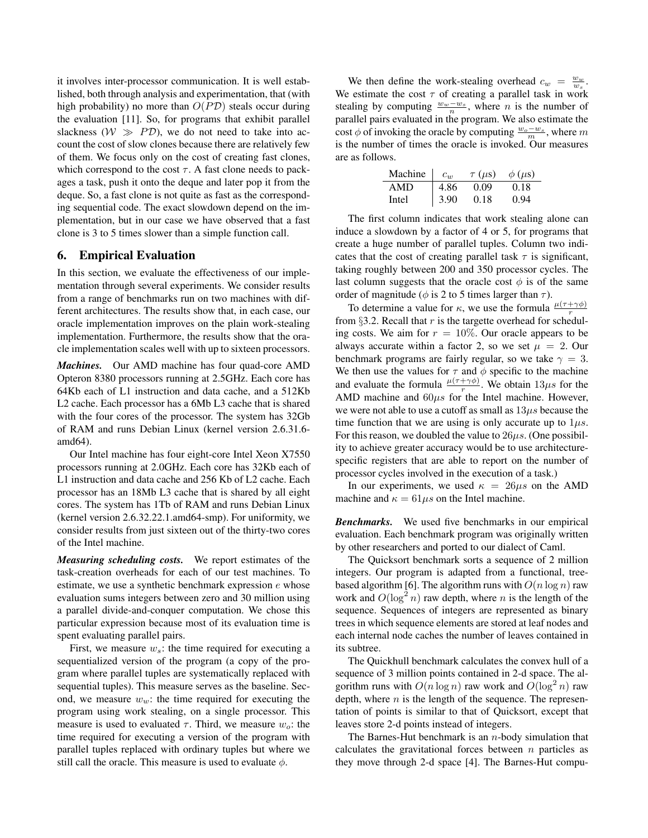it involves inter-processor communication. It is well established, both through analysis and experimentation, that (with high probability) no more than  $O(PD)$  steals occur during the evaluation [11]. So, for programs that exhibit parallel slackness  $(W \gg PD)$ , we do not need to take into account the cost of slow clones because there are relatively few of them. We focus only on the cost of creating fast clones, which correspond to the cost  $\tau$ . A fast clone needs to packages a task, push it onto the deque and later pop it from the deque. So, a fast clone is not quite as fast as the corresponding sequential code. The exact slowdown depend on the implementation, but in our case we have observed that a fast clone is 3 to 5 times slower than a simple function call.

## 6. Empirical Evaluation

In this section, we evaluate the effectiveness of our implementation through several experiments. We consider results from a range of benchmarks run on two machines with different architectures. The results show that, in each case, our oracle implementation improves on the plain work-stealing implementation. Furthermore, the results show that the oracle implementation scales well with up to sixteen processors.

*Machines.* Our AMD machine has four quad-core AMD Opteron 8380 processors running at 2.5GHz. Each core has 64Kb each of L1 instruction and data cache, and a 512Kb L<sub>2</sub> cache. Each processor has a 6Mb L<sub>3</sub> cache that is shared with the four cores of the processor. The system has 32Gb of RAM and runs Debian Linux (kernel version 2.6.31.6 amd64).

Our Intel machine has four eight-core Intel Xeon X7550 processors running at 2.0GHz. Each core has 32Kb each of L1 instruction and data cache and 256 Kb of L2 cache. Each processor has an 18Mb L3 cache that is shared by all eight cores. The system has 1Tb of RAM and runs Debian Linux (kernel version 2.6.32.22.1.amd64-smp). For uniformity, we consider results from just sixteen out of the thirty-two cores of the Intel machine.

*Measuring scheduling costs.* We report estimates of the task-creation overheads for each of our test machines. To estimate, we use a synthetic benchmark expression e whose evaluation sums integers between zero and 30 million using a parallel divide-and-conquer computation. We chose this particular expression because most of its evaluation time is spent evaluating parallel pairs.

First, we measure  $w_s$ : the time required for executing a sequentialized version of the program (a copy of the program where parallel tuples are systematically replaced with sequential tuples). This measure serves as the baseline. Second, we measure  $w_w$ : the time required for executing the program using work stealing, on a single processor. This measure is used to evaluated  $\tau$ . Third, we measure  $w_o$ : the time required for executing a version of the program with parallel tuples replaced with ordinary tuples but where we still call the oracle. This measure is used to evaluate  $\phi$ .

We then define the work-stealing overhead  $c_w = \frac{w_w}{w_s}$ . We estimate the cost  $\tau$  of creating a parallel task in work stealing by computing  $\frac{w_w - w_s}{n}$ , where *n* is the number of parallel pairs evaluated in the program. We also estimate the cost  $\phi$  of invoking the oracle by computing  $\frac{w_o - w_s}{m}$ , where m is the number of times the oracle is invoked. Our measures are as follows.

| Machine      | $C_{ii}$ | $\tau$ ( $\mu$ s) | $\phi$ ( $\mu$ s) |
|--------------|----------|-------------------|-------------------|
| AMD          | 4.86     | 0.09              | 0.18              |
| <b>Intel</b> | 3.90     | 0.18              | 0.94              |

The first column indicates that work stealing alone can induce a slowdown by a factor of 4 or 5, for programs that create a huge number of parallel tuples. Column two indicates that the cost of creating parallel task  $\tau$  is significant, taking roughly between 200 and 350 processor cycles. The last column suggests that the oracle cost  $\phi$  is of the same order of magnitude ( $\phi$  is 2 to 5 times larger than  $\tau$ ).

To determine a value for  $\kappa$ , we use the formula  $\frac{\mu(\tau + \gamma \phi)}{r}$ from §3.2. Recall that  $r$  is the targette overhead for scheduling costs. We aim for  $r = 10\%$ . Our oracle appears to be always accurate within a factor 2, so we set  $\mu = 2$ . Our benchmark programs are fairly regular, so we take  $\gamma = 3$ . We then use the values for  $\tau$  and  $\phi$  specific to the machine and evaluate the formula  $\frac{\mu(\tau + \gamma \phi)}{r}$ . We obtain  $13 \mu s$  for the AMD machine and  $60\mu s$  for the Intel machine. However, we were not able to use a cutoff as small as  $13\mu s$  because the time function that we are using is only accurate up to  $1\mu s$ . For this reason, we doubled the value to  $26\mu s$ . (One possibility to achieve greater accuracy would be to use architecturespecific registers that are able to report on the number of processor cycles involved in the execution of a task.)

In our experiments, we used  $\kappa = 26 \mu s$  on the AMD machine and  $\kappa = 61 \mu s$  on the Intel machine.

*Benchmarks.* We used five benchmarks in our empirical evaluation. Each benchmark program was originally written by other researchers and ported to our dialect of Caml.

The Quicksort benchmark sorts a sequence of 2 million integers. Our program is adapted from a functional, treebased algorithm [6]. The algorithm runs with  $O(n \log n)$  raw work and  $O(\log^2 n)$  raw depth, where n is the length of the sequence. Sequences of integers are represented as binary trees in which sequence elements are stored at leaf nodes and each internal node caches the number of leaves contained in its subtree.

The Quickhull benchmark calculates the convex hull of a sequence of 3 million points contained in 2-d space. The algorithm runs with  $O(n \log n)$  raw work and  $O(\log^2 n)$  raw depth, where  $n$  is the length of the sequence. The representation of points is similar to that of Quicksort, except that leaves store 2-d points instead of integers.

The Barnes-Hut benchmark is an  $n$ -body simulation that calculates the gravitational forces between  $n$  particles as they move through 2-d space [4]. The Barnes-Hut compu-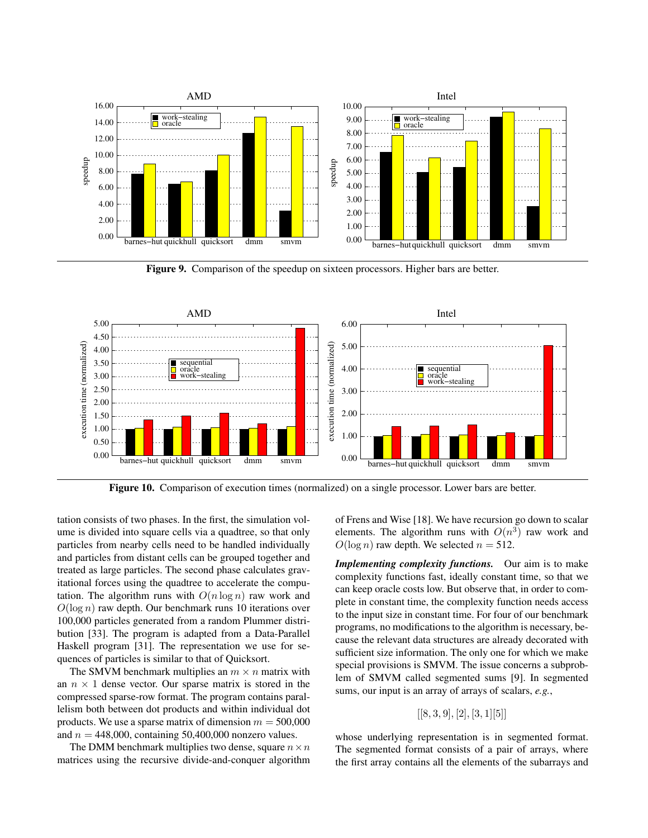

Figure 9. Comparison of the speedup on sixteen processors. Higher bars are better.



Figure 10. Comparison of execution times (normalized) on a single processor. Lower bars are better.

tation consists of two phases. In the first, the simulation volume is divided into square cells via a quadtree, so that only particles from nearby cells need to be handled individually and particles from distant cells can be grouped together and treated as large particles. The second phase calculates gravitational forces using the quadtree to accelerate the computation. The algorithm runs with  $O(n \log n)$  raw work and  $O(\log n)$  raw depth. Our benchmark runs 10 iterations over 100,000 particles generated from a random Plummer distribution [33]. The program is adapted from a Data-Parallel Haskell program [31]. The representation we use for sequences of particles is similar to that of Quicksort.

The SMVM benchmark multiplies an  $m \times n$  matrix with an  $n \times 1$  dense vector. Our sparse matrix is stored in the compressed sparse-row format. The program contains parallelism both between dot products and within individual dot products. We use a sparse matrix of dimension  $m = 500,000$ and  $n = 448,000$ , containing 50,400,000 nonzero values.

The DMM benchmark multiplies two dense, square  $n \times n$ matrices using the recursive divide-and-conquer algorithm of Frens and Wise [18]. We have recursion go down to scalar elements. The algorithm runs with  $O(n^3)$  raw work and  $O(\log n)$  raw depth. We selected  $n = 512$ .

*Implementing complexity functions.* Our aim is to make complexity functions fast, ideally constant time, so that we can keep oracle costs low. But observe that, in order to complete in constant time, the complexity function needs access to the input size in constant time. For four of our benchmark programs, no modifications to the algorithm is necessary, because the relevant data structures are already decorated with sufficient size information. The only one for which we make special provisions is SMVM. The issue concerns a subproblem of SMVM called segmented sums [9]. In segmented sums, our input is an array of arrays of scalars, *e.g.*,

$$
\left[ [8, 3, 9], [2], [3, 1][5] \right]
$$

whose underlying representation is in segmented format. The segmented format consists of a pair of arrays, where the first array contains all the elements of the subarrays and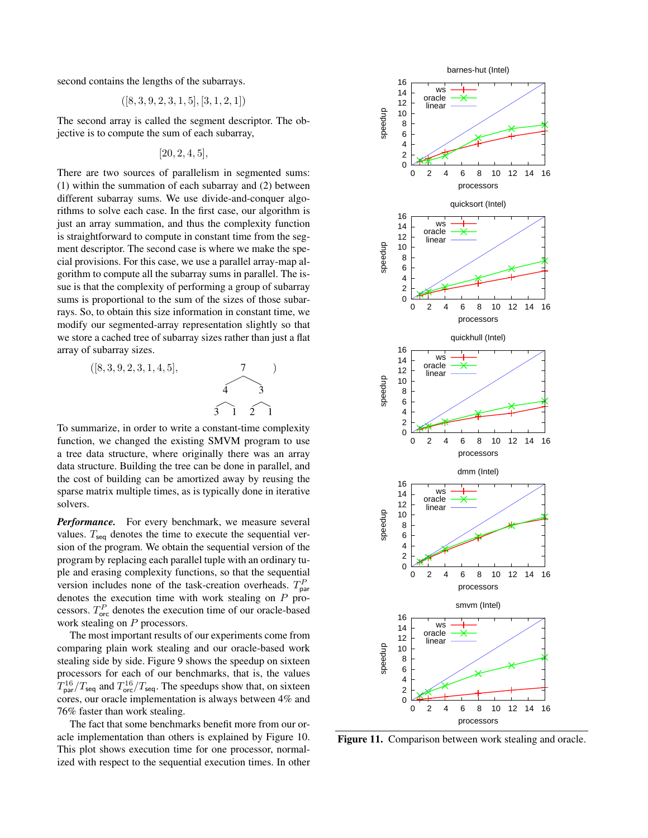second contains the lengths of the subarrays.

$$
\left([8,3,9,2,3,1,5],[3,1,2,1]\right)
$$

The second array is called the segment descriptor. The objective is to compute the sum of each subarray,

$$
[20, 2, 4, 5],
$$

There are two sources of parallelism in segmented sums: (1) within the summation of each subarray and (2) between different subarray sums. We use divide-and-conquer algorithms to solve each case. In the first case, our algorithm is just an array summation, and thus the complexity function is straightforward to compute in constant time from the segment descriptor. The second case is where we make the special provisions. For this case, we use a parallel array-map algorithm to compute all the subarray sums in parallel. The issue is that the complexity of performing a group of subarray sums is proportional to the sum of the sizes of those subarrays. So, to obtain this size information in constant time, we modify our segmented-array representation slightly so that we store a cached tree of subarray sizes rather than just a flat array of subarray sizes.



To summarize, in order to write a constant-time complexity function, we changed the existing SMVM program to use a tree data structure, where originally there was an array data structure. Building the tree can be done in parallel, and the cost of building can be amortized away by reusing the sparse matrix multiple times, as is typically done in iterative solvers.

*Performance.* For every benchmark, we measure several values.  $T_{\text{seq}}$  denotes the time to execute the sequential version of the program. We obtain the sequential version of the program by replacing each parallel tuple with an ordinary tuple and erasing complexity functions, so that the sequential version includes none of the task-creation overheads.  $T_{\text{par}}^P$ denotes the execution time with work stealing on P processors.  $T_{\text{orc}}^P$  denotes the execution time of our oracle-based work stealing on P processors.

The most important results of our experiments come from comparing plain work stealing and our oracle-based work stealing side by side. Figure 9 shows the speedup on sixteen processors for each of our benchmarks, that is, the values  $T_{\text{par}}^{16}/T_{\text{seq}}$  and  $T_{\text{orc}}^{16}/T_{\text{seq}}$ . The speedups show that, on sixteen cores, our oracle implementation is always between 4% and 76% faster than work stealing.

The fact that some benchmarks benefit more from our oracle implementation than others is explained by Figure 10. This plot shows execution time for one processor, normalized with respect to the sequential execution times. In other



Figure 11. Comparison between work stealing and oracle.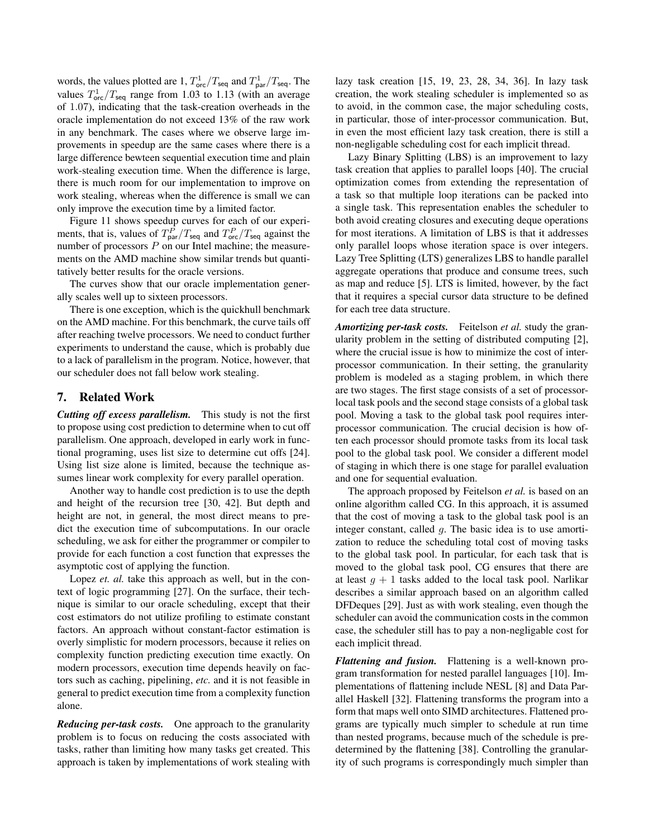words, the values plotted are 1,  $T_{\text{occ}}^1/T_{\text{seq}}$  and  $T_{\text{par}}^1/T_{\text{seq}}$ . The values  $T_{\text{orc}}^1/T_{\text{seq}}$  range from 1.03 to 1.13 (with an average of 1.07), indicating that the task-creation overheads in the oracle implementation do not exceed 13% of the raw work in any benchmark. The cases where we observe large improvements in speedup are the same cases where there is a large difference bewteen sequential execution time and plain work-stealing execution time. When the difference is large, there is much room for our implementation to improve on work stealing, whereas when the difference is small we can only improve the execution time by a limited factor.

Figure 11 shows speedup curves for each of our experiments, that is, values of  $T_{\text{par}}^P/T_{\text{seq}}$  and  $T_{\text{orc}}^P/T_{\text{seq}}$  against the number of processors  $P$  on our Intel machine; the measurements on the AMD machine show similar trends but quantitatively better results for the oracle versions.

The curves show that our oracle implementation generally scales well up to sixteen processors.

There is one exception, which is the quickhull benchmark on the AMD machine. For this benchmark, the curve tails off after reaching twelve processors. We need to conduct further experiments to understand the cause, which is probably due to a lack of parallelism in the program. Notice, however, that our scheduler does not fall below work stealing.

# 7. Related Work

*Cutting off excess parallelism.* This study is not the first to propose using cost prediction to determine when to cut off parallelism. One approach, developed in early work in functional programing, uses list size to determine cut offs [24]. Using list size alone is limited, because the technique assumes linear work complexity for every parallel operation.

Another way to handle cost prediction is to use the depth and height of the recursion tree [30, 42]. But depth and height are not, in general, the most direct means to predict the execution time of subcomputations. In our oracle scheduling, we ask for either the programmer or compiler to provide for each function a cost function that expresses the asymptotic cost of applying the function.

Lopez *et. al.* take this approach as well, but in the context of logic programming [27]. On the surface, their technique is similar to our oracle scheduling, except that their cost estimators do not utilize profiling to estimate constant factors. An approach without constant-factor estimation is overly simplistic for modern processors, because it relies on complexity function predicting execution time exactly. On modern processors, execution time depends heavily on factors such as caching, pipelining, *etc.* and it is not feasible in general to predict execution time from a complexity function alone.

*Reducing per-task costs.* One approach to the granularity problem is to focus on reducing the costs associated with tasks, rather than limiting how many tasks get created. This approach is taken by implementations of work stealing with lazy task creation [15, 19, 23, 28, 34, 36]. In lazy task creation, the work stealing scheduler is implemented so as to avoid, in the common case, the major scheduling costs, in particular, those of inter-processor communication. But, in even the most efficient lazy task creation, there is still a non-negligable scheduling cost for each implicit thread.

Lazy Binary Splitting (LBS) is an improvement to lazy task creation that applies to parallel loops [40]. The crucial optimization comes from extending the representation of a task so that multiple loop iterations can be packed into a single task. This representation enables the scheduler to both avoid creating closures and executing deque operations for most iterations. A limitation of LBS is that it addresses only parallel loops whose iteration space is over integers. Lazy Tree Splitting (LTS) generalizes LBS to handle parallel aggregate operations that produce and consume trees, such as map and reduce [5]. LTS is limited, however, by the fact that it requires a special cursor data structure to be defined for each tree data structure.

*Amortizing per-task costs.* Feitelson *et al.* study the granularity problem in the setting of distributed computing [2], where the crucial issue is how to minimize the cost of interprocessor communication. In their setting, the granularity problem is modeled as a staging problem, in which there are two stages. The first stage consists of a set of processorlocal task pools and the second stage consists of a global task pool. Moving a task to the global task pool requires interprocessor communication. The crucial decision is how often each processor should promote tasks from its local task pool to the global task pool. We consider a different model of staging in which there is one stage for parallel evaluation and one for sequential evaluation.

The approach proposed by Feitelson *et al.* is based on an online algorithm called CG. In this approach, it is assumed that the cost of moving a task to the global task pool is an integer constant, called g. The basic idea is to use amortization to reduce the scheduling total cost of moving tasks to the global task pool. In particular, for each task that is moved to the global task pool, CG ensures that there are at least  $q + 1$  tasks added to the local task pool. Narlikar describes a similar approach based on an algorithm called DFDeques [29]. Just as with work stealing, even though the scheduler can avoid the communication costs in the common case, the scheduler still has to pay a non-negligable cost for each implicit thread.

*Flattening and fusion.* Flattening is a well-known program transformation for nested parallel languages [10]. Implementations of flattening include NESL [8] and Data Parallel Haskell [32]. Flattening transforms the program into a form that maps well onto SIMD architectures. Flattened programs are typically much simpler to schedule at run time than nested programs, because much of the schedule is predetermined by the flattening [38]. Controlling the granularity of such programs is correspondingly much simpler than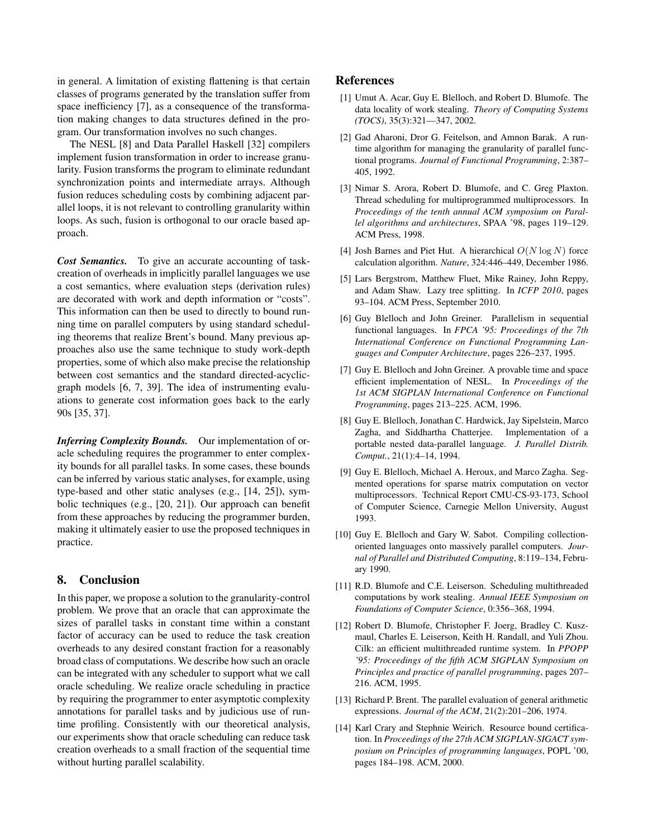in general. A limitation of existing flattening is that certain classes of programs generated by the translation suffer from space inefficiency [7], as a consequence of the transformation making changes to data structures defined in the program. Our transformation involves no such changes.

The NESL [8] and Data Parallel Haskell [32] compilers implement fusion transformation in order to increase granularity. Fusion transforms the program to eliminate redundant synchronization points and intermediate arrays. Although fusion reduces scheduling costs by combining adjacent parallel loops, it is not relevant to controlling granularity within loops. As such, fusion is orthogonal to our oracle based approach.

*Cost Semantics.* To give an accurate accounting of taskcreation of overheads in implicitly parallel languages we use a cost semantics, where evaluation steps (derivation rules) are decorated with work and depth information or "costs". This information can then be used to directly to bound running time on parallel computers by using standard scheduling theorems that realize Brent's bound. Many previous approaches also use the same technique to study work-depth properties, some of which also make precise the relationship between cost semantics and the standard directed-acyclicgraph models [6, 7, 39]. The idea of instrumenting evaluations to generate cost information goes back to the early 90s [35, 37].

*Inferring Complexity Bounds.* Our implementation of oracle scheduling requires the programmer to enter complexity bounds for all parallel tasks. In some cases, these bounds can be inferred by various static analyses, for example, using type-based and other static analyses (e.g., [14, 25]), symbolic techniques (e.g., [20, 21]). Our approach can benefit from these approaches by reducing the programmer burden, making it ultimately easier to use the proposed techniques in practice.

# 8. Conclusion

In this paper, we propose a solution to the granularity-control problem. We prove that an oracle that can approximate the sizes of parallel tasks in constant time within a constant factor of accuracy can be used to reduce the task creation overheads to any desired constant fraction for a reasonably broad class of computations. We describe how such an oracle can be integrated with any scheduler to support what we call oracle scheduling. We realize oracle scheduling in practice by requiring the programmer to enter asymptotic complexity annotations for parallel tasks and by judicious use of runtime profiling. Consistently with our theoretical analysis, our experiments show that oracle scheduling can reduce task creation overheads to a small fraction of the sequential time without hurting parallel scalability.

## References

- [1] Umut A. Acar, Guy E. Blelloch, and Robert D. Blumofe. The data locality of work stealing. *Theory of Computing Systems (TOCS)*, 35(3):321—347, 2002.
- [2] Gad Aharoni, Dror G. Feitelson, and Amnon Barak. A runtime algorithm for managing the granularity of parallel functional programs. *Journal of Functional Programming*, 2:387– 405, 1992.
- [3] Nimar S. Arora, Robert D. Blumofe, and C. Greg Plaxton. Thread scheduling for multiprogrammed multiprocessors. In *Proceedings of the tenth annual ACM symposium on Parallel algorithms and architectures*, SPAA '98, pages 119–129. ACM Press, 1998.
- [4] Josh Barnes and Piet Hut. A hierarchical  $O(N \log N)$  force calculation algorithm. *Nature*, 324:446–449, December 1986.
- [5] Lars Bergstrom, Matthew Fluet, Mike Rainey, John Reppy, and Adam Shaw. Lazy tree splitting. In *ICFP 2010*, pages 93–104. ACM Press, September 2010.
- [6] Guy Blelloch and John Greiner. Parallelism in sequential functional languages. In *FPCA '95: Proceedings of the 7th International Conference on Functional Programming Languages and Computer Architecture*, pages 226–237, 1995.
- [7] Guy E. Blelloch and John Greiner. A provable time and space efficient implementation of NESL. In *Proceedings of the 1st ACM SIGPLAN International Conference on Functional Programming*, pages 213–225. ACM, 1996.
- [8] Guy E. Blelloch, Jonathan C. Hardwick, Jay Sipelstein, Marco Zagha, and Siddhartha Chatterjee. Implementation of a portable nested data-parallel language. *J. Parallel Distrib. Comput.*, 21(1):4–14, 1994.
- [9] Guy E. Blelloch, Michael A. Heroux, and Marco Zagha. Segmented operations for sparse matrix computation on vector multiprocessors. Technical Report CMU-CS-93-173, School of Computer Science, Carnegie Mellon University, August 1993.
- [10] Guy E. Blelloch and Gary W. Sabot. Compiling collectionoriented languages onto massively parallel computers. *Journal of Parallel and Distributed Computing*, 8:119–134, February 1990.
- [11] R.D. Blumofe and C.E. Leiserson. Scheduling multithreaded computations by work stealing. *Annual IEEE Symposium on Foundations of Computer Science*, 0:356–368, 1994.
- [12] Robert D. Blumofe, Christopher F. Joerg, Bradley C. Kuszmaul, Charles E. Leiserson, Keith H. Randall, and Yuli Zhou. Cilk: an efficient multithreaded runtime system. In *PPOPP '95: Proceedings of the fifth ACM SIGPLAN Symposium on Principles and practice of parallel programming*, pages 207– 216. ACM, 1995.
- [13] Richard P. Brent. The parallel evaluation of general arithmetic expressions. *Journal of the ACM*, 21(2):201–206, 1974.
- [14] Karl Crary and Stephnie Weirich. Resource bound certification. In *Proceedings of the 27th ACM SIGPLAN-SIGACT symposium on Principles of programming languages*, POPL '00, pages 184–198. ACM, 2000.